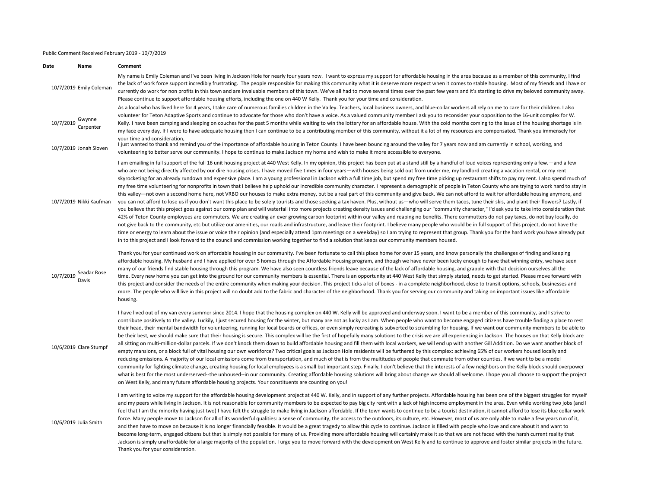Public Comment Received February 2019 - 10/7/2019

**Date Name Comment** 10/7/2019 Emily Coleman My name is Emily Coleman and I've been living in Jackson Hole for nearly four years now. I want to express my support for affordable housing in the area because as a member of this community, I find the lack of work force support incredibly frustrating. The people responsible for making this community what it is deserve more respect when it comes to stable housing. Most of my friends and I have or currently do work for non profits in this town and are invaluable members of this town. We've all had to move several times over the past few years and it's starting to drive my beloved community away. Please continue to support affordable housing efforts, including the one on 440 W Kelly. Thank you for your time and consideration. 10/7/2019 Gwynne Carpenter As a local who has lived here for 4 years, I take care of numerous families children in the Valley. Teachers, local business owners, and blue-collar workers all rely on me to care for their children. I also volunteer for Teton Adaptive Sports and continue to advocate for those who don't have a voice. As a valued community member I ask you to reconsider your opposition to the 16-unit complex for W. Kelly. I have been camping and sleeping on couches for the past 5 months while waiting to win the lottery for an affordable house. With the cold months coming to the issue of the housing shortage is in my face every day. If I were to have adequate housing then I can continue to be a contributing member of this community, without it a lot of my resources are compensated. Thank you immensely for your time and consideration, 10/7/2019 Jonah Sloven I just wanted to thank and remind you of the importance of affordable housing in Teton County. I have been bouncing around the valley for 7 years now and am currently in school, working, and 10/7/201 volunteering to better serve our community. I hope to continue to make Jackson my home and wish to make it more accessible to everyone. 10/7/2019 Nikki Kaufman I am emailing in full support of the full 16 unit housing project at 440 West Kelly. In my opinion, this project has been put at a stand still by a handful of loud voices representing only a few.—and a few who are not being directly affected by our dire housing crises. I have moved five times in four years—with houses being sold out from under me, my landlord creating a vacation rental, or my rent skyrocketing for an already rundown and expensive place. I am a young professional in Jackson with a full time job, but spend my free time picking up restaurant shifts to pay my rent. I also spend much of my free time volunteering for nonprofits in town that I believe help uphold our incredible community character. I represent a demographic of people in Teton County who are trying to work hard to stay in this valley—not own a second home here, not VRBO our houses to make extra money, but be a real part of this community and give back. We can not afford to wait for affordable housing anymore, and you can not afford to lose us if you don't want this place to be solely tourists and those seeking a tax haven. Plus, without us—who will serve them tacos, tune their skis, and plant their flowers? Lastly, if you believe that this project goes against our comp plan and will waterfall into more projects creating density issues and challenging our "community character," I'd ask you to take into consideration that 42% of Teton County employees are commuters. We are creating an ever growing carbon footprint within our valley and reaping no benefits. There commutters do not pay taxes, do not buy locally, do not give back to the community, etc but utilize our amenities, our roads and infrastructure, and leave their footprint. I believe many people who would be in full support of this project, do not have the time or energy to learn about the issue or voice their opinion (and especially attend 1pm meetings on a weekday) so I am trying to represent that group. Thank you for the hard work you have already put in to this project and I look forward to the council and commission working together to find a solution that keeps our community members housed. 10/7/2019 Seadar Rose Davis Thank you for your continued work on affordable housing in our community. I've been fortunate to call this place home for over 15 years, and know personally the challenges of finding and keeping affordable housing. My husband and I have applied for over 5 homes through the Affordable Housing program, and though we have never been lucky enough to have that winning entry, we have seen many of our friends find stable housing through this program. We have also seen countless friends leave because of the lack of affordable housing, and grapple with that decision ourselves all the time. Every new home you can get into the ground for our community members is essential. There is an opportunity at 440 West Kelly that simply stated, needs to get started. Please move forward with this project and consider the needs of the entire community when making your decision. This project ticks a lot of boxes - in a complete neighborhood, close to transit options, schools, businesses and more. The people who will live in this project will no doubt add to the fabric and character of the neighborhood. Thank you for serving our community and taking on important issues like affordable housing. 10/6/2019 Clare Stumpf I have lived out of my van every summer since 2014. I hope that the housing complex on 440 W. Kelly will be approved and underway soon. I want to be a member of this community, and I strive to contribute positively to the valley. Luckily, I just secured housing for the winter, but many are not as lucky as I am. When people who want to become engaged citizens have trouble finding a place to rest their head, their mental bandwidth for volunteering, running for local boards or offices, or even simply recreating is subverted to scrambling for housing. If we want our community members to be able to be their best, we should make sure that their housing is secure. This complex will be the first of hopefully many solutions to the crisis we are all experiencing in Jackson. The houses on that Kelly block are all sitting on multi-million-dollar parcels. If we don't knock them down to build affordable housing and fill them with local workers, we will end up with another Gill Addition. Do we want another block of empty mansions, or a block full of vital housing our own workforce? Two critical goals as Jackson Hole residents will be furthered by this complex: achieving 65% of our workers housed locally and reducing emissions. A majority of our local emissions come from transportation, and much of that is from the multitudes of people that commute from other counties. If we want to be a model community for fighting climate change, creating housing for local employees is a small but important step. Finally, I don't believe that the interests of a few neighbors on the Kelly block should overpower what is best for the most underserved--the unhoused--in our community. Creating affordable housing solutions will bring about change we should all welcome. I hope you all choose to support the project on West Kelly, and many future affordable housing projects. Your constituents are counting on you! 10/6/2019 Julia Smith I am writing to voice my support for the affordable housing development project at 440 W. Kelly, and in support of any further projects. Affordable housing has been one of the biggest struggles for myself and my peers while living in Jackson. It is not reasonable for community members to be expected to pay big city rent with a lack of high income employment in the area. Even while working two jobs (and I feel that I am the minority having just two) I have felt the struggle to make living in Jackson affordable. If the town wants to continue to be a tourist destination, it cannot afford to lose its blue collar work force. Many people move to Jackson for all of its wonderful qualities: a sense of community, the access to the outdoors, its culture, etc. However, most of us are only able to make a few years run of it, and then have to move on because it is no longer financially feasible. It would be a great tragedy to allow this cycle to continue. Jackson is filled with people who love and care about it and want to become long-term, engaged citizens but that is simply not possible for many of us. Providing more affordable housing will certainly make it so that we are not faced with the harsh current reality that Jackson is simply unaffordable for a large majority of the population. I urge you to move forward with the development on West Kelly and to continue to approve and foster similar projects in the future. Thank you for your consideration.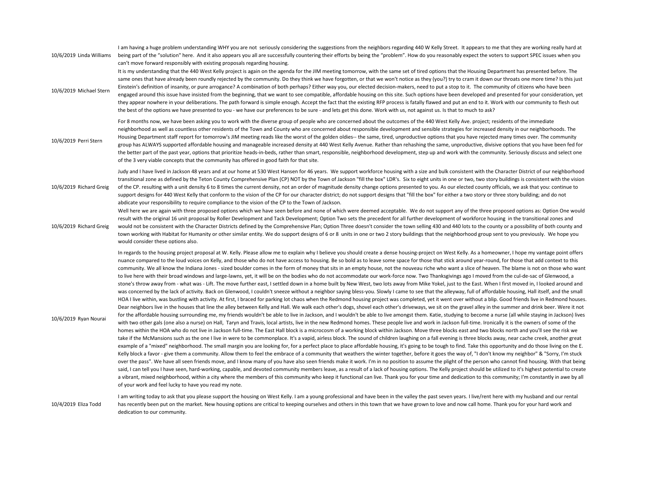10/6/2019 Linda Williams I am having a huge problem understanding WHY you are not seriously considering the suggestions from the neighbors regarding 440 W Kelly Street. It appears to me that they are working really hard at being part of the "solution" here. And it also appears you all are successfully countering their efforts by being the "problem". How do you reasonably expect the voters to support SPEC issues when you can't move forward responsibly with existing proposals regarding housing. 10/6/2019 Michael Stern It is my understanding that the 440 West Kelly project is again on the agenda for the JIM meeting tomorrow, with the same set of tired options that the Housing Department has presented before. The same ones that have already been roundly rejected by the community. Do they think we have forgotten, or that we won't notice as they (you?) try to cram it down our throats one more time? Is this just Einstein's definition of insanity, or pure arrogance? A combination of both perhaps? Either way you, our elected decision-makers, need to put a stop to it. The community of citizens who have been engaged around this issue have insisted from the beginning, that we want to see compatible, affordable housing on this site. Such options have been developed and presented for your consideration, yet they appear nowhere in your deliberations. The path forward is simple enough. Accept the fact that the existing RFP process is fatally flawed and put an end to it. Work with our community to flesh out the best of the options we have presented to you - we have our preferences to be sure - and lets get this done. Work with us, not against us. Is that to much to ask? 10/6/2019 Perri Stern For 8 months now, we have been asking you to work with the diverse group of people who are concerned about the outcomes of the 440 West Kelly Ave. project; residents of the immediate neighborhood as well as countless other residents of the Town and County who are concerned about responsible development and sensible strategies for increased density in our neighborhoods. The Housing Department staff report for tomorrow's JIM meeting reads like the worst of the golden oldies-- the same, tired, unproductive options that you have rejected many times over. The community group has ALWAYS supported affordable housing and manageable increased density at 440 West Kelly Avenue. Rather than rehashing the same, unproductive, divisive options that you have been fed for the better part of the past year, options that prioritize heads-in-beds, rather than smart, responsible, neighborhood development, step up and work with the community. Seriously discuss and select one of the 3 very viable concepts that the community has offered in good faith for that site. 10/6/2019 Richard Greig Judy and I have lived in Jackson 48 years and at our home at 530 West Hansen for 46 years. We support workforce housing with a size and bulk consistent with the Character District of our neighborhood transitional zone as defined by the Teton County Comprehensive Plan (CP) NOT by the Town of Jackson "fill the box" LDR's. Six to eight units in one or two, two story buildings is consistent with the vision of the CP. resulting with a unit density 6 to 8 times the current density, not an order of magnitude density change options presented to you. As our elected county officials, we ask that you: continue to support designs for 440 West Kelly that conform to the vision of the CP for our character district; do not support designs that "fill the box" for either a two story or three story building; and do not abdicate your responsibility to require compliance to the vision of the CP to the Town of Jackson. 10/6/2019 Richard Greig Well here we are again with three proposed options which we have seen before and none of which were deemed acceptable. We do not support any of the three proposed options as: Option One would result with the original 16 unit proposal by Roller Development and Tack Development; Option Two sets the precedent for all further development of workforce housing in the transitional zones and would not be consistent with the Character Districts defined by the Comprehensive Plan; Option Three doesn't consider the town selling 430 and 440 lots to the county or a possibility of both county and town working with Habitat for Humanity or other similar entity. We do support designs of 6 or 8 units in one or two 2 story buildings that the neighborhood group sent to you previously. We hope you would consider these options also. 10/6/2019 Ryan Nourai In regards to the housing project proposal at W. Kelly. Please allow me to explain why I believe you should create a dense housing-project on West Kelly. As a homeowner, I hope my vantage point offers nuance compared to the loud voices on Kelly, and those who do not have access to housing. Be so bold as to leave some space for those that stick around year-round, for those that add context to this community. We all know the Indiana Jones - sized boulder comes in the form of money that sits in an empty house, not the nouveau riche who want a slice of heaven. The blame is not on those who want to live here with their broad windows and large-lawns, yet, it will be on the bodies who do not accommodate our work-force now. Two Thanksgivings ago I moved from the cul-de-sac of Glenwood, a stone's throw away from - what was - Lift. The move further east, I settled down in a home built by New West, two lots away from Mike Yokel, just to the East. When I first moved in, I looked around and was concerned by the lack of activity. Back on Glenwood, I couldn't sneeze without a neighbor saying bless-you. Slowly I came to see that the alleyway, full of affordable housing, Hall itself, and the small HOA I live within, was bustling with activity. At first, I braced for parking lot chaos when the Redmond housing project was completed, yet it went over without a blip. Good friends live in Redmond houses. Dear neighbors live in the houses that line the alley between Kelly and Hall. We walk each other's dogs, shovel each other's driveways, we sit on the gravel alley in the summer and drink beer. Were it not for the affordable housing surrounding me, my friends wouldn't be able to live in Jackson, and I wouldn't be able to live amongst them. Katie, studying to become a nurse (all while staying in Jackson) lives with two other gals (one also a nurse) on Hall, Taryn and Travis, local artists, live in the new Redmond homes. These people live and work in Jackson full-time. Ironically it is the owners of some of the homes within the HOA who do not live in Jackson full-time. The East Hall block is a microcosm of a working block within Jackson. Move three blocks east and two blocks north and you'll see the risk we take if the McMansions such as the one I live in were to be commonplace. It's a vapid, airless block. The sound of children laughing on a fall evening is three blocks away, near cache creek, another great example of a "mixed" neighborhood. The small margin you are looking for, for a perfect place to place affordable housing, it's going to be tough to find. Take this opportunity and do those living on the E. Kelly block a favor - give them a community. Allow them to feel the embrace of a community that weathers the winter together, before it goes the way of, "I don't know my neighbor" & "Sorry, I'm stuck over the pass". We have all seen friends move, and I know many of you have also seen friends make it work. I'm in no position to assume the plight of the person who cannot find housing. With that being said, I can tell you I have seen, hard-working, capable, and devoted community members leave, as a result of a lack of housing options. The Kelly project should be utilized to it's highest potential to create a vibrant, mixed neighborhood, within a city where the members of this community who keep it functional can live. Thank you for your time and dedication to this community; I'm constantly in awe by all of your work and feel lucky to have you read my note. 10/4/2019 Eliza Todd I am writing today to ask that you please support the housing on West Kelly. I am a young professional and have been in the valley the past seven years. I live/rent here with my husband and our rental has recently been put on the market. New housing options are critical to keeping ourselves and others in this town that we have grown to love and now call home. Thank you for your hard work and dedication to our community.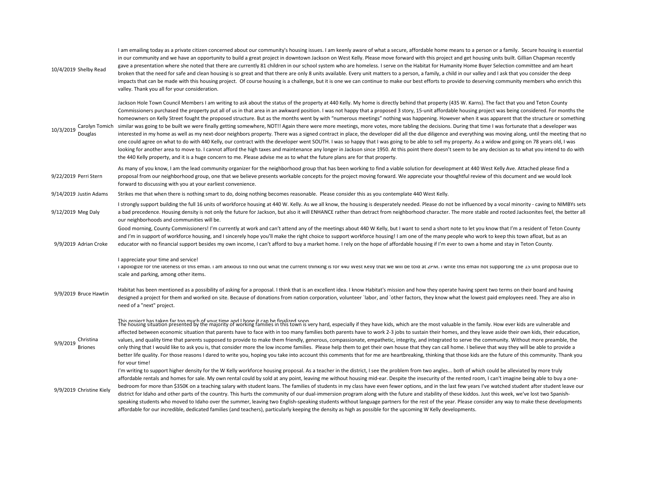| 10/4/2019 Shelby Read                   | I am emailing today as a private citizen concerned about our community's housing issues. I am keenly aware of what a secure, affordable home means to a person or a family. Secure housing is essential<br>in our community and we have an opportunity to build a great project in downtown Jackson on West Kelly. Please move forward with this project and get housing units built. Gillian Chapman recently<br>gave a presentation where she noted that there are currently 81 children in our school system who are homeless. I serve on the Habitat for Humanity Home Buyer Selection committee and am heart<br>broken that the need for safe and clean housing is so great and that there are only 8 units available. Every unit matters to a person, a family, a child in our valley and I ask that you consider the deep<br>impacts that can be made with this housing project. Of course housing is a challenge, but it is one we can continue to make our best efforts to provide to deserving community members who enrich this<br>valley. Thank you all for your consideration.                                                                                                                                                                                                                                                                                                                                                                                                                                                                                                  |
|-----------------------------------------|----------------------------------------------------------------------------------------------------------------------------------------------------------------------------------------------------------------------------------------------------------------------------------------------------------------------------------------------------------------------------------------------------------------------------------------------------------------------------------------------------------------------------------------------------------------------------------------------------------------------------------------------------------------------------------------------------------------------------------------------------------------------------------------------------------------------------------------------------------------------------------------------------------------------------------------------------------------------------------------------------------------------------------------------------------------------------------------------------------------------------------------------------------------------------------------------------------------------------------------------------------------------------------------------------------------------------------------------------------------------------------------------------------------------------------------------------------------------------------------------------------------------------------------------------------------------------------------------|
| Carolyn Tomich<br>10/3/2019<br>Douglas  | Jackson Hole Town Council Members I am writing to ask about the status of the property at 440 Kelly. My home is directly behind that property (435 W. Karns). The fact that you and Teton County<br>Commissioners purchased the property put all of us in that area in an awkward position. I was not happy that a proposed 3 story, 15-unit affordable housing project was being considered. For months the<br>homeowners on Kelly Street fought the proposed structure. But as the months went by with "numerous meetings" nothing was happening. However when it was apparent that the structure or something<br>similar was going to be built we were finally getting somewhere, NOT!! Again there were more meetings, more votes, more tabling the decisions. During that time I was fortunate that a developer was<br>interested in my home as well as my next-door neighbors property. There was a signed contract in place, the developer did all the due diligence and everything was moving along, until the meeting that no<br>one could agree on what to do with 440 Kelly, our contract with the developer went SOUTH. I was so happy that I was going to be able to sell my property. As a widow and going on 78 years old, I was<br>looking for another area to move to. I cannot afford the high taxes and maintenance any longer in Jackson since 1950. At this point there doesn't seem to be any decision as to what you intend to do with<br>the 440 Kelly property, and it is a huge concern to me. Please advise me as to what the future plans are for that property. |
| 9/22/2019 Perri Stern                   | As many of you know, I am the lead community organizer for the neighborhood group that has been working to find a viable solution for development at 440 West Kelly Ave. Attached please find a<br>proposal from our neighborhood group, one that we believe presents workable concepts for the project moving forward. We appreciate your thoughtful review of this document and we would look<br>forward to discussing with you at your earliest convenience.                                                                                                                                                                                                                                                                                                                                                                                                                                                                                                                                                                                                                                                                                                                                                                                                                                                                                                                                                                                                                                                                                                                              |
| 9/14/2019 Justin Adams                  | Strikes me that when there is nothing smart to do, doing nothing becomes reasonable. Please consider this as you contemplate 440 West Kelly.                                                                                                                                                                                                                                                                                                                                                                                                                                                                                                                                                                                                                                                                                                                                                                                                                                                                                                                                                                                                                                                                                                                                                                                                                                                                                                                                                                                                                                                 |
| 9/12/2019 Meg Daly                      | I strongly support building the full 16 units of workforce housing at 440 W. Kelly. As we all know, the housing is desperately needed. Please do not be influenced by a vocal minority - caving to NIMBYs sets<br>a bad precedence. Housing density is not only the future for Jackson, but also it will ENHANCE rather than detract from neighborhood character. The more stable and rooted Jacksonites feel, the better all<br>our neighborhoods and communities will be.                                                                                                                                                                                                                                                                                                                                                                                                                                                                                                                                                                                                                                                                                                                                                                                                                                                                                                                                                                                                                                                                                                                  |
| 9/9/2019 Adrian Croke                   | Good morning, County Commissioners! I'm currently at work and can't attend any of the meetings about 440 W Kelly, but I want to send a short note to let you know that I'm a resident of Teton County<br>and I'm in support of workforce housing, and I sincerely hope you'll make the right choice to support workforce housing! I am one of the many people who work to keep this town afloat, but as an<br>educator with no financial support besides my own income, I can't afford to buy a market home. I rely on the hope of affordable housing if I'm ever to own a home and stay in Teton County.                                                                                                                                                                                                                                                                                                                                                                                                                                                                                                                                                                                                                                                                                                                                                                                                                                                                                                                                                                                    |
|                                         | I appreciate your time and service!<br>I apologize for the lateness of this email. I am anxious to find out what the current thinking is for 440 West Kelly that we will be told at ZPM. I write this email not supporting the 15 unit proposal due to<br>scale and parking, among other items.                                                                                                                                                                                                                                                                                                                                                                                                                                                                                                                                                                                                                                                                                                                                                                                                                                                                                                                                                                                                                                                                                                                                                                                                                                                                                              |
| 9/9/2019 Bruce Hawtin                   | Habitat has been mentioned as a possibility of asking for a proposal. I think that is an excellent idea. I know Habitat's mission and how they operate having spent two terms on their board and having<br>designed a project for them and worked on site. Because of donations from nation corporation, volunteer 'labor, and 'other factors, they know what the lowest paid employees need. They are also in<br>need of a "next" project.                                                                                                                                                                                                                                                                                                                                                                                                                                                                                                                                                                                                                                                                                                                                                                                                                                                                                                                                                                                                                                                                                                                                                  |
| Christina<br>9/9/2019<br><b>Briones</b> | This project has taken far too much of your time and I hone it can be finalized soon<br>The housing situation presented by the majority of working families in this town is very hard, especially if they have kids, which are th<br>affected between economic situation that parents have to face with in too many families both parents have to work 2-3 jobs to sustain their homes, and they leave aside their own kids, their education,<br>values, and quality time that parents supposed to provide to make them friendly, generous, compassionate, empathetic, integrity, and integrated to serve the community. Without more preamble, the<br>only thing that I would like to ask you is, that consider more the low income families. Please help them to get their own house that they can call home. I believe that way they will be able to provide a<br>better life quality. For those reasons I dared to write you, hoping you take into account this comments that for me are heartbreaking, thinking that those kids are the future of this community. Thank you<br>for your time!                                                                                                                                                                                                                                                                                                                                                                                                                                                                                           |
| 9/9/2019 Christine Kiely                | I'm writing to support higher density for the W Kelly workforce housing proposal. As a teacher in the district, I see the problem from two angles both of which could be alleviated by more truly<br>affordable rentals and homes for sale. My own rental could by sold at any point, leaving me without housing mid-ear. Despite the insecurity of the rented room, I can't imagine being able to buy a one-<br>bedroom for more than \$350K on a teaching salary with student loans. The families of students in my class have even fewer options, and in the last few years I've watched student after student leave our<br>district for Idaho and other parts of the country. This hurts the community of our dual-immersion program along with the future and stability of these kiddos. Just this week, we've lost two Spanish-<br>speaking students who moved to Idaho over the summer, leaving two English-speaking students without language partners for the rest of the year. Please consider any way to make these developments<br>affordable for our incredible, dedicated families (and teachers), particularly keeping the density as high as possible for the upcoming W Kelly developments.                                                                                                                                                                                                                                                                                                                                                                                 |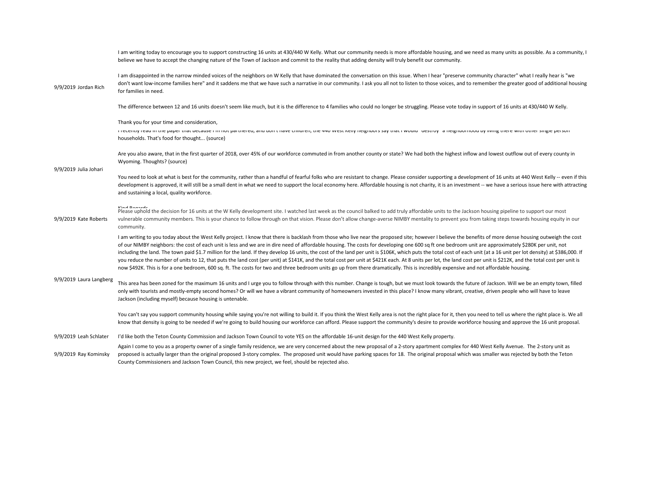|                         | I am writing today to encourage you to support constructing 16 units at 430/440 W Kelly. What our community needs is more affordable housing, and we need as many units as possible. As a community, I<br>believe we have to accept the changing nature of the Town of Jackson and commit to the reality that adding density will truly benefit our community.                                                                                                                                                                                                                                                                                                                                                                                                                                                                                                                                                                                                                                                                                             |
|-------------------------|------------------------------------------------------------------------------------------------------------------------------------------------------------------------------------------------------------------------------------------------------------------------------------------------------------------------------------------------------------------------------------------------------------------------------------------------------------------------------------------------------------------------------------------------------------------------------------------------------------------------------------------------------------------------------------------------------------------------------------------------------------------------------------------------------------------------------------------------------------------------------------------------------------------------------------------------------------------------------------------------------------------------------------------------------------|
| 9/9/2019 Jordan Rich    | I am disappointed in the narrow minded voices of the neighbors on W Kelly that have dominated the conversation on this issue. When I hear "preserve community character" what I really hear is "we<br>don't want low-income families here" and it saddens me that we have such a narrative in our community. I ask you all not to listen to those voices, and to remember the greater good of additional housing<br>for families in need.                                                                                                                                                                                                                                                                                                                                                                                                                                                                                                                                                                                                                  |
|                         | The difference between 12 and 16 units doesn't seem like much, but it is the difference to 4 families who could no longer be struggling. Please vote today in support of 16 units at 430/440 W Kelly.                                                                                                                                                                                                                                                                                                                                                                                                                                                                                                                                                                                                                                                                                                                                                                                                                                                      |
|                         | Thank you for your time and consideration,<br>i recentity read in the paper that because i m not partnered, and don't nave children, the 440 west Keily neighbors say that i would luestroy a neighbornood by living there with other single person<br>households. That's food for thought (source)                                                                                                                                                                                                                                                                                                                                                                                                                                                                                                                                                                                                                                                                                                                                                        |
| 9/9/2019 Julia Johari   | Are you also aware, that in the first quarter of 2018, over 45% of our workforce commuted in from another county or state? We had both the highest inflow and lowest outflow out of every county in<br>Wyoming. Thoughts? (source)                                                                                                                                                                                                                                                                                                                                                                                                                                                                                                                                                                                                                                                                                                                                                                                                                         |
|                         | You need to look at what is best for the community, rather than a handful of fearful folks who are resistant to change. Please consider supporting a development of 16 units at 440 West Kelly -- even if this<br>development is approved, it will still be a small dent in what we need to support the local economy here. Affordable housing is not charity, it is an investment -- we have a serious issue here with attracting<br>and sustaining a local, quality workforce.                                                                                                                                                                                                                                                                                                                                                                                                                                                                                                                                                                           |
| 9/9/2019 Kate Roberts   | Vind Dogarde<br>Please uphold the decision for 16 units at the W Kelly development site. I watched last week as the council balked to add truly affordable units to the Jackson housing pipeline to support our most<br>vulnerable community members. This is your chance to follow through on that vision. Please don't allow change-averse NIMBY mentality to prevent you from taking steps towards housing equity in our<br>community.                                                                                                                                                                                                                                                                                                                                                                                                                                                                                                                                                                                                                  |
| 9/9/2019 Laura Langberg | I am writing to you today about the West Kelly project. I know that there is backlash from those who live near the proposed site; however I believe the benefits of more dense housing outweigh the cost<br>of our NIMBY neighbors: the cost of each unit is less and we are in dire need of affordable housing. The costs for developing one 600 sq ft one bedroom unit are approximately \$280K per unit, not<br>including the land. The town paid \$1.7 million for the land. If they develop 16 units, the cost of the land per unit is \$106K, which puts the total cost of each unit (at a 16 unit per lot density) at \$386,000. If<br>you reduce the number of units to 12, that puts the land cost (per unit) at \$141K, and the total cost per unit at \$421K each. At 8 units per lot, the land cost per unit is \$212K, and the total cost per unit is<br>now \$492K. This is for a one bedroom, 600 sq. ft. The costs for two and three bedroom units go up from there dramatically. This is incredibly expensive and not affordable housing. |
|                         | This area has been zoned for the maximum 16 units and I urge you to follow through with this number. Change is tough, but we must look towards the future of Jackson. Will we be an empty town, filled<br>only with tourists and mostly-empty second homes? Or will we have a vibrant community of homeowners invested in this place? I know many vibrant, creative, driven people who will have to leave<br>Jackson (including myself) because housing is untenable.                                                                                                                                                                                                                                                                                                                                                                                                                                                                                                                                                                                      |
|                         | You can't say you support community housing while saying you're not willing to build it. If you think the West Kelly area is not the right place for it, then you need to tell us where the right place is. We all<br>know that density is going to be needed if we're going to build housing our workforce can afford. Please support the community's desire to provide workforce housing and approve the 16 unit proposal.                                                                                                                                                                                                                                                                                                                                                                                                                                                                                                                                                                                                                               |
| 9/9/2019 Leah Schlater  | I'd like both the Teton County Commission and Jackson Town Council to vote YES on the affordable 16-unit design for the 440 West Kelly property.                                                                                                                                                                                                                                                                                                                                                                                                                                                                                                                                                                                                                                                                                                                                                                                                                                                                                                           |
| 9/9/2019 Ray Kominsky   | Again I come to you as a property owner of a single family residence, we are very concerned about the new proposal of a 2-story apartment complex for 440 West Kelly Avenue. The 2-story unit as<br>proposed is actually larger than the original proposed 3-story complex. The proposed unit would have parking spaces for 18. The original proposal which was smaller was rejected by both the Teton<br>County Commissioners and Jackson Town Council, this new project, we feel, should be rejected also.                                                                                                                                                                                                                                                                                                                                                                                                                                                                                                                                               |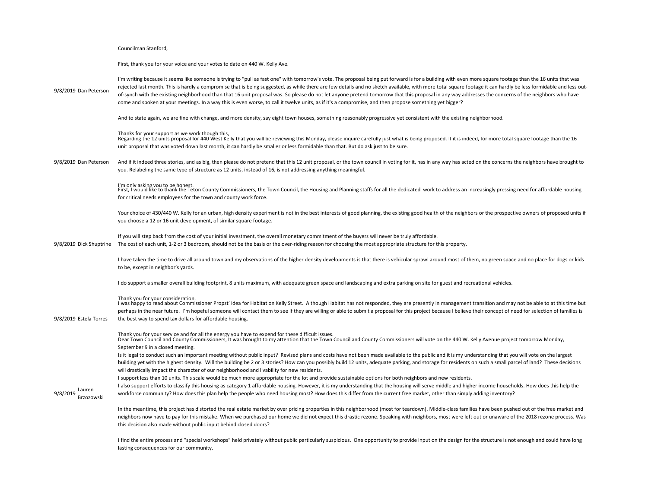## Councilman Stanford,

First, thank you for your voice and your votes to date on 440 W. Kelly Ave.

9/8/2019 Dan Peterson I'm writing because it seems like someone is trying to "pull as fast one" with tomorrow's vote. The proposal being put forward is for a building with even more square footage than the 16 units that was rejected last month. This is hardly a compromise that is being suggested, as while there are few details and no sketch available, with more total square footage it can hardly be less formidable and less outof-synch with the existing neighborhood than that 16 unit proposal was. So please do not let anyone pretend tomorrow that this proposal in any way addresses the concerns of the neighbors who have come and spoken at your meetings. In a way this is even worse, to call it twelve units, as if it's a compromise, and then propose something yet bigger? And to state again, we are fine with change, and more density, say eight town houses, something reasonably progressive yet consistent with the existing neighborhood. Thanks for your support as we work though this, 9/8/2019 Dan Peterson Regarding the 12 units proposal for 440 West Kelly that you will be reviewing this Monday, please inquire carefully just what is being proposed. If it is indeed, for more total square footage than the 16 unit proposal that was voted down last month, it can hardly be smaller or less formidable than that. But do ask just to be sure. And if it indeed three stories, and as big, then please do not pretend that this 12 unit proposal, or the town council in voting for it, has in any way has acted on the concerns the neighbors have brought to you. Relabeling the same type of structure as 12 units, instead of 16, is not addressing anything meaningful. ו"m only asking you to be honest<br>First, I would like to thank the Teton County Commissioners, the Town Council, the Housing and Planning staffs for all the dedicated work to address an increasingly pressing need for affo 9/8/2019 Dick Shuptrine for critical needs employees for the town and county work force. Your choice of 430/440 W. Kelly for an urban, high density experiment is not in the best interests of good planning, the existing good health of the neighbors or the prospective owners of proposed units if you choose a 12 or 16 unit development, of similar square footage. If you will step back from the cost of your initial investment, the overall monetary commitment of the buyers will never be truly affordable. The cost of each unit, 1-2 or 3 bedroom, should not be the basis or the over-riding reason for choosing the most appropriate structure for this property. I have taken the time to drive all around town and my observations of the higher density developments is that there is vehicular sprawl around most of them, no green space and no place for dogs or kids to be, except in neighbor's yards. I do support a smaller overall building footprint, 8 units maximum, with adequate green space and landscaping and extra parking on site for guest and recreational vehicles. Thank you for your consideration. 9/8/2019 Estela Torres I was happy to read about Commissioner Propst' idea for Habitat on Kelly Street. Although Habitat has not responded, they are presently in management transition and may not be able to at this time but perhaps in the near future. I'm hopeful someone will contact them to see if they are willing or able to submit a proposal for this project because I believe their concept of need for selection of families is the best way to spend tax dollars for affordable housing. Thank you for your service and for all the energy you have to expend for these difficult issues. 9/8/2019 Lauren Brzozowski Dear Town Council and County Commissioners, It was brought to my attention that the Town Council and County Commissioners will vote on the 440 W. Kelly Avenue project tomorrow Monday, September 9 in a closed meeting. Is it legal to conduct such an important meeting without public input? Revised plans and costs have not been made available to the public and it is my understanding that you will vote on the largest building yet with the highest density. Will the building be 2 or 3 stories? How can you possibly build 12 units, adequate parking, and storage for residents on such a small parcel of land? These decisions will drastically impact the character of our neighborhood and livability for new residents. I support less than 10 units. This scale would be much more appropriate for the lot and provide sustainable options for both neighbors and new residents. I also support efforts to classify this housing as category 1 affordable housing. However, it is my understanding that the housing will serve middle and higher income households. How does this help the workforce community? How does this plan help the people who need housing most? How does this differ from the current free market, other than simply adding inventory? In the meantime, this project has distorted the real estate market by over pricing properties in this neighborhood (most for teardown). Middle-class families have been pushed out of the free market and neighbors now have to pay for this mistake. When we purchased our home we did not expect this drastic rezone. Speaking with neighbors, most were left out or unaware of the 2018 rezone process. Was this decision also made without public input behind closed doors?

> I find the entire process and "special workshops" held privately without public particularly suspicious. One opportunity to provide input on the design for the structure is not enough and could have long lasting consequences for our community.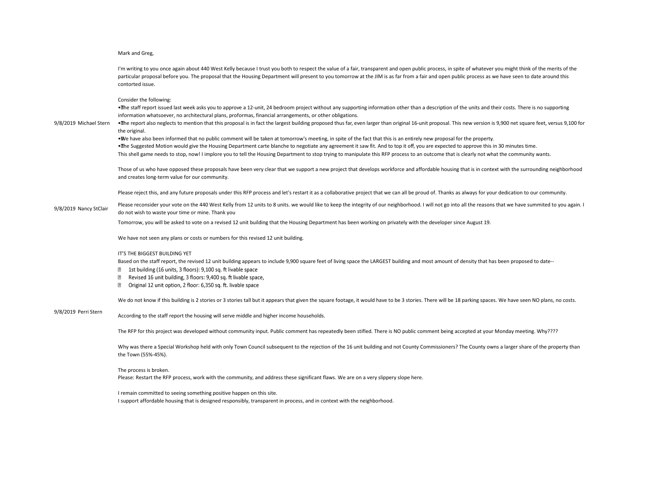## Mark and Greg,

I'm writing to you once again about 440 West Kelly because I trust you both to respect the value of a fair, transparent and open public process, in spite of whatever you might think of the merits of the particular proposal before you. The proposal that the Housing Department will present to you tomorrow at the JIM is as far from a fair and open public process as we have seen to date around this contorted issue.

Consider the following:

·The staff report issued last week asks you to approve a 12-unit, 24 bedroom project without any supporting information other than a description of the units and their costs. There is no supporting information whatsoever, no architectural plans, proformas, financial arrangements, or other obligations.

9/8/2019 Michael Stern ·The report also neglects to mention that this proposal is in fact the largest building proposed thus far, even larger than original 16-unit proposal. This new version is 9,900 net square feet, versus 9,100 for the original.

> • We have also been informed that no public comment will be taken at tomorrow's meeting, in spite of the fact that this is an entirely new proposal for the property. • The Suggested Motion would give the Housing Department carte blanche to negotiate any agreement it saw fit. And to top it off, you are expected to approve this in 30 minutes time. This shell game needs to stop, now! I implore you to tell the Housing Department to stop trying to manipulate this RFP process to an outcome that is clearly not what the community wants.

Those of us who have opposed these proposals have been very clear that we support a new project that develops workforce and affordable housing that is in context with the surrounding neighborhood and creates long-term value for our community.

Please reject this, and any future proposals under this RFP process and let's restart it as a collaborative project that we can all be proud of. Thanks as always for your dedication to our community.

Please reconsider your vote on the 440 West Kelly from 12 units to 8 units. we would like to keep the integrity of our neighborhood. I will not go into all the reasons that we have summited to you again. I do not wish to waste your time or mine. Thank you

Tomorrow, you will be asked to vote on a revised 12 unit building that the Housing Department has been working on privately with the developer since August 19.

We have not seen any plans or costs or numbers for this revised 12 unit building.

#### IT'S THE BIGGEST BUILDING YET

Based on the staff report, the revised 12 unit building appears to include 9,900 square feet of living space the LARGEST building and most amount of density that has been proposed to date--

- 1st building (16 units, 3 floors): 9,100 sq. ft livable space
- $\sqrt{2}$ Revised 16 unit building, 3 floors: 9,400 sq. ft livable space,
- **■** Original 12 unit option, 2 floor: 6,350 sq. ft. livable space

We do not know if this building is 2 stories or 3 stories tall but it appears that given the square footage, it would have to be 3 stories. There will be 18 parking spaces. We have seen NO plans, no costs.

#### 9/8/2019 Perri Stern

According to the staff report the housing will serve middle and higher income households.

The RFP for this project was developed without community input. Public comment has repeatedly been stifled. There is NO public comment being accepted at your Monday meeting. Why????

Why was there a Special Workshop held with only Town Council subsequent to the rejection of the 16 unit building and not County Commissioners? The County owns a larger share of the property than the Town (55%-45%).

#### The process is broken.

Please: Restart the RFP process, work with the community, and address these significant flaws. We are on a very slippery slope here.

I remain committed to seeing something positive happen on this site. I support affordable housing that is designed responsibly, transparent in process, and in context with the neighborhood.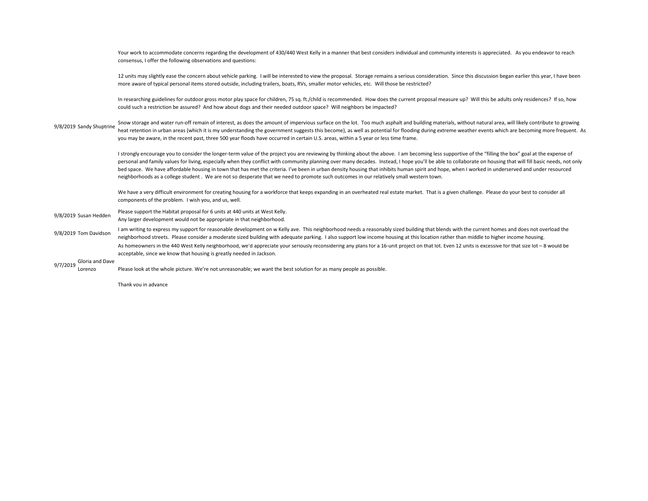|                          | consensus, I offer the following observations and questions:                                                                                                                                                                                                                                                                                                                                                                                                                                                                                                                                                                                                                                                                                                            |
|--------------------------|-------------------------------------------------------------------------------------------------------------------------------------------------------------------------------------------------------------------------------------------------------------------------------------------------------------------------------------------------------------------------------------------------------------------------------------------------------------------------------------------------------------------------------------------------------------------------------------------------------------------------------------------------------------------------------------------------------------------------------------------------------------------------|
|                          | 12 units may slightly ease the concern about vehicle parking. I will be interested to view the proposal. Storage remains a serious consideration. Since this discussion began earlier this year, I have been<br>more aware of typical personal items stored outside, including trailers, boats, RVs, smaller motor vehicles, etc. Will those be restricted?                                                                                                                                                                                                                                                                                                                                                                                                             |
|                          | In researching guidelines for outdoor gross motor play space for children, 75 sq. ft./child is recommended. How does the current proposal measure up? Will this be adults only residences? If so, how<br>could such a restriction be assured? And how about dogs and their needed outdoor space? Will neighbors be impacted?                                                                                                                                                                                                                                                                                                                                                                                                                                            |
| 9/8/2019 Sandy Shuptrine | Snow storage and water run-off remain of interest, as does the amount of impervious surface on the lot. Too much asphalt and building materials, without natural area, will likely contribute to growing<br>heat retention in urban areas (which it is my understanding the government suggests this become), as well as potential for flooding during extreme weather events which are becoming more frequent. As<br>you may be aware, in the recent past, three 500 year floods have occurred in certain U.S. areas, within a 5 year or less time frame.                                                                                                                                                                                                              |
|                          | I strongly encourage you to consider the longer-term value of the project you are reviewing by thinking about the above. I am becoming less supportive of the "filling the box" goal at the expense of<br>personal and family values for living, especially when they conflict with community planning over many decades. Instead, I hope you'll be able to collaborate on housing that will fill basic needs, not only<br>bed space. We have affordable housing in town that has met the criteria. I've been in urban density housing that inhibits human spirit and hope, when I worked in underserved and under resourced<br>neighborhoods as a college student. We are not so desperate that we need to promote such outcomes in our relatively small western town. |
|                          | We have a very difficult environment for creating housing for a workforce that keeps expanding in an overheated real estate market. That is a given challenge. Please do your best to consider all<br>components of the problem. I wish you, and us, well.                                                                                                                                                                                                                                                                                                                                                                                                                                                                                                              |

Your work to accommodate concerns regarding the development of 430/440 West Kelly in a manner that best considers individual and community interests is appreciated. As you endeavor to reach

9/8/2019 Susan Hedden Please support the Habitat proposal for 6 units at 440 units at West Kelly. Any larger development would not be appropriate in that neighborhood.

9/8/2019 Tom Davidson I am writing to express my support for reasonable development on w Kelly ave. This neighborhood needs a reasonably sized building that blends with the current homes and does not overload the neighborhood streets. Please consider a moderate sized building with adequate parking. I also support low income housing at this location rather than middle to higher income housing. As homeowners in the 440 West Kelly neighborhood, we'd appreciate your seriously reconsidering any plans for a 16-unit project on that lot. Even 12 units is excessive for that size lot - 8 would be acceptable, since we know that housing is greatly needed in Jackson.

9/7/2019 Gloria and Dave Lorenzo

Please look at the whole picture. We're not unreasonable; we want the best solution for as many people as possible.

Thank you in advance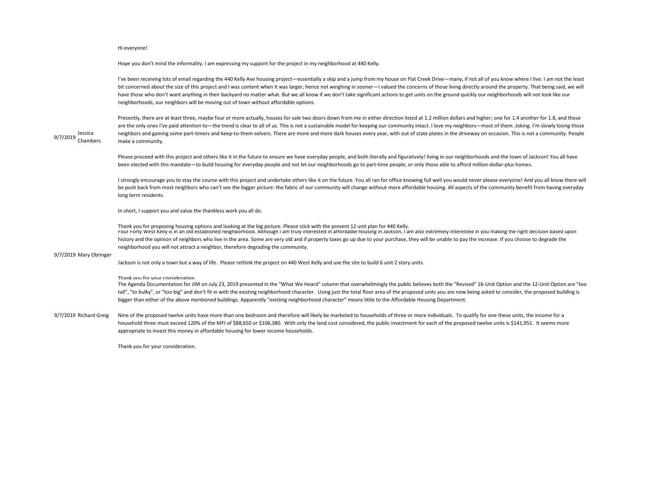#### Hi everyone!

Hope you don't mind the informality. I am expressing my support for the project in my neighborhood at 440 Kelly.

I've been receiving lots of email regarding the 440 Kelly Ave housing project—essentially a skip and a jump from my house on Flat Creek Drive—many, if not all of you know where I live. I am not the least bit concerned about the size of this project and I was content when it was larger, hence not weighing in sooner—I valued the concerns of those living directly around the property. That being said, we will have those who don't want anything in their backyard no matter what. But we all know if we don't take significant actions to get units on the ground quickly our neighborhoods will not look like our neighborhoods, our neighbors will be moving out of town without affordable options.

Presently, there are at least three, maybe four or more actually, houses for sale two doors down from me in either direction listed at 1.2 million dollars and higher; one for 1.4 another for 1.8, and those are the only ones I've paid attention to—the trend is clear to all of us. This is not a sustainable model for keeping our community intact. I love my neighbors—most of them. Joking. I'm slowly losing those neighbors and gaining some part-timers and keep-to-them-selvers. There are more and more dark houses every year, with out of state plates in the driveway on occasion. This is not a community. People make a community.

Please proceed with this project and others like it in the future to ensure we have everyday people, and both literally and figuratively! living in our neighborhoods and the town of Jackson! You all have been elected with this mandate—to build housing for everyday people and not let our neighborhoods go to part-time people, or only those able to afford million-dollar-plus homes.

I strongly encourage you to stay the course with this project and undertake others like it on the future. You all ran for office knowing full well you would never please everyone! And you all know there will be push back from most neighbors who can't see the bigger picture: the fabric of our community will change without more affordable housing. All aspects of the community benefit from having everyday long term residents.

In short, I support you and value the thankless work you all do.

Thank you for proposing housing options and looking at the big picture. Please stick with the present 12 unit plan for 440 Kelly. Four Forty West Kelly is in an old established neighborhood. Although I am truly interested in affordable housing in Jackson, I am also extremely interested in you making the right decision based upon history and the opinion of neighbors who live in the area. Some are very old and if property taxes go up due to your purchase, they will be unable to pay the increase. If you choose to degrade the neighborhood you will not attract a neighbor, therefore degrading the community.

#### 9/7/2019 Mary Obringer

9/7/2019 <sup>Jessica</sup><br>Chambers

Jackson is not only a town but a way of life. Please rethink the project on 440 West Kelly and use the site to build 6 unit 2 story units.

#### Thank you for your consideration.

The Agenda Documentation for JIM on July 23, 2019 presented in the "What We Heard" column that overwhelmingly the public believes both the "Revised" 16-Unit Option and the 12-Unit Option are "too tall", "to bulky", or "too big" and don't fit in with the existing neighborhood character. Using just the total floor area of the proposed units you are now being asked to consider, the proposed building is bigger than either of the above mentioned buildings. Apparently "existing neighborhood character" means little to the Affordable Housing Department.

9/7/2019 Richard Greig Nine of the proposed twelve units have more than one bedroom and therefore will likely be marketed to households of three or more individuals. To qualify for one these units, the income for a household three must exceed 120% of the MFI of \$88,650 or \$106,380. With only the land cost considered, the public investment for each of the proposed twelve units is \$141,951. It seems more appropriate to invest this money in affordable housing for lower income households.

Thank you for your consideration.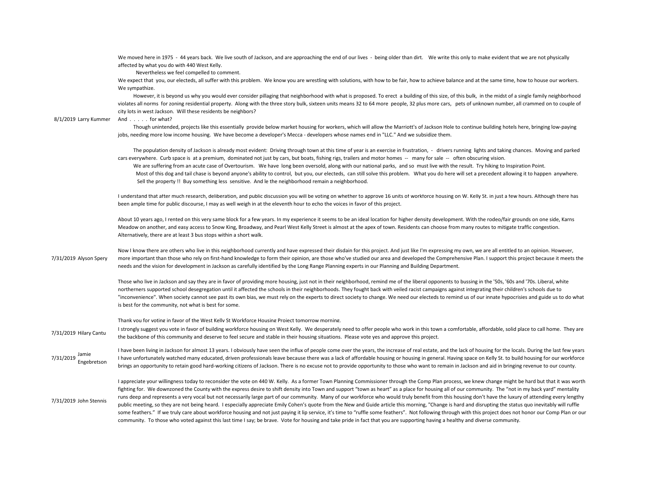We moved here in 1975 - 44 years back. We live south of Jackson, and are approaching the end of our lives - being older than dirt. We write this only to make evident that we are not physically affected by what you do with 440 West Kelly.

Nevertheless we feel compelled to comment.

We expect that you, our electeds, all suffer with this problem. We know you are wrestling with solutions, with how to be fair, how to achieve balance and at the same time, how to house our workers. We sympathize.

However, it is beyond us why you would ever consider pillaging that neighborhood with what is proposed. To erect a building of this size, of this bulk, in the midst of a single family neighborhood violates all norms for zoning residential property. Along with the three story bulk, sixteen units means 32 to 64 more people, 32 plus more cars, pets of unknown number, all crammed on to couple of city lots in west Jackson. Will these residents be neighbors?

8/1/2019 Larry Kummer And . . . . . for what?

> Though unintended, projects like this essentially provide below market housing for workers, which will allow the Marriott's of Jackson Hole to continue building hotels here, bringing low-paying jobs, needing more low income housing. We have become a developer's Mecca - developers whose names end in "LLC." And we subsidize them.

> The population density of Jackson is already most evident: Driving through town at this time of year is an exercise in frustration, - drivers running lights and taking chances. Moving and parked cars everywhere. Curb space is at a premium, dominated not just by cars, but boats, fishing rigs, trailers and motor homes -- many for sale -- often obscuring vision.

 We are suffering from an acute case of Overtourism. We have long been oversold, along with our national parks, and so must live with the result. Try hiking to Inspiration Point. Most of this dog and tail chase is bevond anyone's ability to control, but you, our electeds, can still solve this problem. What you do here will set a precedent allowing it to happen anywhere. Sell the property !! Buy something less sensitive. And le the neighborhood remain a neighborhood.

I understand that after much research, deliberation, and public discussion you will be voting on whether to approve 16 units of workforce housing on W. Kelly St. in just a few hours. Although there has been ample time for public discourse, I may as well weigh in at the eleventh hour to echo the voices in favor of this project.

About 10 years ago, I rented on this very same block for a few years. In my experience it seems to be an ideal location for higher density development. With the rodeo/fair grounds on one side, Karns Meadow on another, and easy access to Snow King, Broadway, and Pearl West Kelly Street is almost at the apex of town. Residents can choose from many routes to mitigate traffic congestion. Alternatively, there are at least 3 bus stops within a short walk.

7/31/2019 Alyson Spery Now I know there are others who live in this neighborhood currently and have expressed their disdain for this project. And just like I'm expressing my own, we are all entitled to an opinion. However, more important than those who rely on first-hand knowledge to form their opinion, are those who've studied our area and developed the Comprehensive Plan. I support this project because it meets the needs and the vision for development in Jackson as carefully identified by the Long Range Planning experts in our Planning and Building Department.

> Those who live in Jackson and say they are in favor of providing more housing, just not in their neighborhood, remind me of the liberal opponents to bussing in the '50s, '60s and '70s. Liberal, white northerners supported school desegregation until it affected the schools in their neighborhoods. They fought back with veiled racist campaigns against integrating their children's schools due to "inconvenience". When society cannot see past its own bias, we must rely on the experts to direct society to change. We need our electeds to remind us of our innate hypocrisies and guide us to do what is best for the community, not what is best for some.

Thank you for voting in favor of the West Kelly St Workforce Housing Project tomorrow morning.

7/31/2019 Hilary Cantu I strongly suggest you vote in favor of building workforce housing on West Kelly. We desperately need to offer people who work in this town a comfortable, affordable, solid place to call home. They are the backbone of this community and deserve to feel secure and stable in their housing situations. Please vote yes and approve this project.

7/31/2019 Jamie Engebretson

I have been living in Jackson for almost 13 years. I obviously have seen the influx of people come over the years, the increase of real estate, and the lack of housing for the locals. During the last few years I have unfortunately watched many educated, driven professionals leave because there was a lack of affordable housing or housing in general. Having space on Kelly St. to build housing for our workforce brings an opportunity to retain good hard-working citizens of Jackson. There is no excuse not to provide opportunity to those who want to remain in Jackson and aid in bringing revenue to our county.

7/31/2019 John Stennis I appreciate your willingness today to reconsider the vote on 440 W. Kelly. As a former Town Planning Commissioner through the Comp Plan process, we knew change might be hard but that it was worth fighting for. We downzoned the County with the express desire to shift density into Town and support "town as heart" as a place for housing all of our community. The "not in my back yard" mentality runs deep and represents a very vocal but not necessarily large part of our community. Many of our workforce who would truly benefit from this housing don't have the luxury of attending every lengthy public meeting, so they are not being heard. I especially appreciate Emily Cohen's quote from the New and Guide article this morning, "Change is hard and disrupting the status quo inevitably will ruffle some feathers." If we truly care about workforce housing and not just paying it lip service, it's time to "ruffle some feathers". Not following through with this project does not honor our Comp Plan or our community. To those who voted against this last time I say; be brave. Vote for housing and take pride in fact that you are supporting having a healthy and diverse community.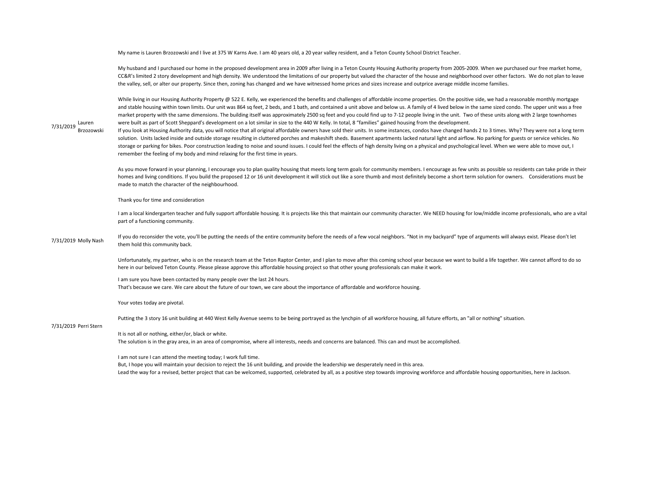My name is Lauren Brzozowski and I live at 375 W Karns Ave. I am 40 years old, a 20 year valley resident, and a Teton County School District Teacher.

My husband and I purchased our home in the proposed development area in 2009 after living in a Teton County Housing Authority property from 2005-2009. When we purchased our free market home, CC&R's limited 2 story development and high density. We understood the limitations of our property but valued the character of the house and neighborhood over other factors. We do not plan to leave the valley, sell, or alter our property. Since then, zoning has changed and we have witnessed home prices and sizes increase and outprice average middle income families.

While living in our Housing Authority Property @ 522 E. Kelly, we experienced the benefits and challenges of affordable income properties. On the positive side, we had a reasonable monthly mortgage and stable housing within town limits. Our unit was 864 sq feet, 2 beds, and 1 bath, and contained a unit above and below us. A family of 4 lived below in the same sized condo. The upper unit was a free market property with the same dimensions. The building itself was approximately 2500 sq feet and you could find up to 7-12 people living in the unit. Two of these units along with 2 large townhomes were built as part of Scott Sheppard's development on a lot similar in size to the 440 W Kelly. In total, 8 "families" gained housing from the development.

# 7/31/2019 Lauren<br>Brzozowski

If you look at Housing Authority data, you will notice that all original affordable owners have sold their units. In some instances, condos have changed hands 2 to 3 times. Why? They were not a long term solution. Units lacked inside and outside storage resulting in cluttered porches and makeshift sheds. Basement apartments lacked natural light and airflow. No parking for guests or service vehicles. No storage or parking for bikes. Poor construction leading to noise and sound issues. I could feel the effects of high density living on a physical and psychological level. When we were able to move out, I remember the feeling of my body and mind relaxing for the first time in years.

As you move forward in your planning, I encourage you to plan quality housing that meets long term goals for community members. I encourage as few units as possible so residents can take pride in their homes and living conditions. If you build the proposed 12 or 16 unit development it will stick out like a sore thumb and most definitely become a short term solution for owners. Considerations must be made to match the character of the neighbourhood.

Thank you for time and consideration

I am a local kindergarten teacher and fully support affordable housing. It is projects like this that maintain our community character. We NEED housing for low/middle income professionals, who are a vital part of a functioning community.

7/31/2019 Molly Nash If you do reconsider the vote, you'll be putting the needs of the entire community before the needs of a few vocal neighbors. "Not in my backyard" type of arguments will always exist. Please don't let them hold this community back.

> Unfortunately, my partner, who is on the research team at the Teton Raptor Center, and I plan to move after this coming school year because we want to build a life together. We cannot afford to do so here in our beloved Teton County. Please please approve this affordable housing project so that other young professionals can make it work.

I am sure you have been contacted by many people over the last 24 hours. That's because we care. We care about the future of our town, we care about the importance of affordable and workforce housing.

Your votes today are pivotal.

Putting the 3 story 16 unit building at 440 West Kelly Avenue seems to be being portrayed as the lynchpin of all workforce housing, all future efforts, an "all or nothing" situation.

# 7/31/2019 Perri Stern

It is not all or nothing, either/or, black or white. The solution is in the gray area, in an area of compromise, where all interests, needs and concerns are balanced. This can and must be accomplished.

I am not sure I can attend the meeting today; I work full time.

But, I hope you will maintain your decision to reject the 16 unit building, and provide the leadership we desperately need in this area. Lead the way for a revised, better project that can be welcomed, supported, celebrated by all, as a positive step towards improving workforce and affordable housing opportunities, here in Jackson.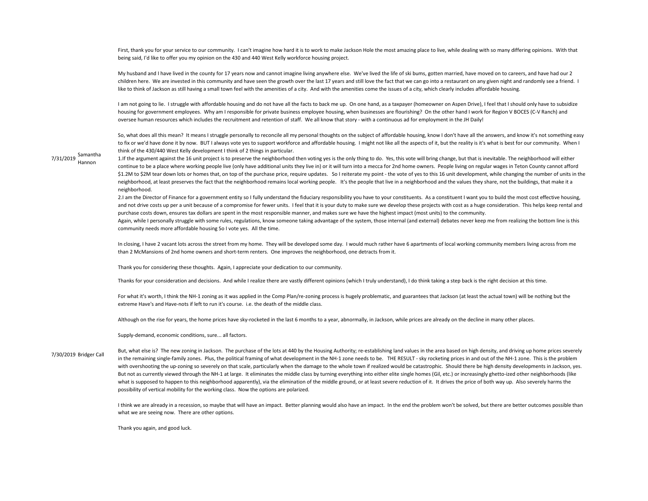First, thank you for your service to our community. I can't imagine how hard it is to work to make Jackson Hole the most amazing place to live, while dealing with so many differing opinions. With that being said, I'd like to offer you my opinion on the 430 and 440 West Kelly workforce housing project.

My husband and I have lived in the county for 17 years now and cannot imagine living anywhere else. We've lived the life of ski bums, gotten married, have moved on to careers, and have had our 2 children here. We are invested in this community and have seen the growth over the last 17 years and still love the fact that we can go into a restaurant on any given night and randomly see a friend. I like to think of Jackson as still having a small town feel with the amenities of a city. And with the amenities come the issues of a city, which clearly includes affordable housing.

I am not going to lie. I struggle with affordable housing and do not have all the facts to back me up. On one hand, as a taxpayer (homeowner on Aspen Drive), I feel that I should only have to subsidize housing for government employees. Why am I responsible for private business employee housing, when businesses are flourishing? On the other hand I work for Region V BOCES (C-V Ranch) and oversee human resources which includes the recruitment and retention of staff. We all know that story - with a continuous ad for employment in the JH Daily!

So, what does all this mean? It means I struggle personally to reconcile all my personal thoughts on the subject of affordable housing, know I don't have all the answers, and know it's not something easy to fix or we'd have done it by now. BUT I always vote yes to support workforce and affordable housing. I might not like all the aspects of it, but the reality is it's what is best for our community. When I think of the 430/440 West Kelly development I think of 2 things in particular.

7/31/2019 Samantha Hannon

1. If the argument against the 16 unit project is to preserve the neighborhood then voting yes is the only thing to do. Yes, this vote will bring change, but that is inevitable. The neighborhood will either continue to be a place where working people live (only have additional units they live in) or it will turn into a mecca for 2nd home owners. People living on regular wages in Teton County cannot afford \$1.2M to \$2M tear down lots or homes that, on top of the purchase price, require updates. So I reiterate my point - the vote of yes to this 16 unit development, while changing the number of units in the neighborhood, at least preserves the fact that the neighborhood remains local working people. It's the people that live in a neighborhood and the values they share, not the buildings, that make it a neighborhood.

2.I am the Director of Finance for a government entity so I fully understand the fiduciary responsibility you have to your constituents. As a constituent I want you to build the most cost effective housing, and not drive costs up per a unit because of a compromise for fewer units. I feel that it is your duty to make sure we develop these projects with cost as a huge consideration. This helps keep rental and purchase costs down, ensures tax dollars are spent in the most responsible manner, and makes sure we have the highest impact (most units) to the community.

Again, while I personally struggle with some rules, regulations, know someone taking advantage of the system, those internal (and external) debates never keep me from realizing the bottom line is this community needs more affordable housing So I vote yes. All the time.

In closing, I have 2 vacant lots across the street from my home. They will be developed some day. I would much rather have 6 apartments of local working community members living across from me than 2 McMansions of 2nd home owners and short-term renters. One improves the neighborhood, one detracts from it.

Thank you for considering these thoughts. Again, I appreciate your dedication to our community.

Thanks for your consideration and decisions. And while I realize there are vastly different opinions (which I truly understand), I do think taking a step back is the right decision at this time.

For what it's worth, I think the NH-1 zoning as it was applied in the Comp Plan/re-zoning process is hugely problematic, and guarantees that Jackson (at least the actual town) will be nothing but the extreme Have's and Have-nots if left to run it's course. i.e. the death of the middle class.

Although on the rise for years, the home prices have sky-rocketed in the last 6 months to a year, abnormally, in Jackson, while prices are already on the decline in many other places.

Supply-demand, economic conditions, sure... all factors.

7/30/2019 Bridger Call But, what else is? The new zoning in Jackson. The purchase of the lots at 440 by the Housing Authority; re-establishing land values in the area based on high density, and driving up home prices severely in the remaining single-family zones. Plus, the political framing of what development in the NH-1 zone needs to be. THE RESULT - sky rocketing prices in and out of the NH-1 zone. This is the problem with overshooting the up-zoning so severely on that scale, particularly when the damage to the whole town if realized would be catastrophic. Should there be high density developments in Jackson, yes. But not as currently viewed through the NH-1 at large. It eliminates the middle class by turning everything into either elite single homes (Gil, etc.) or increasingly ghetto-ized other neighborhoods (like what is supposed to happen to this neighborhood apparently), via the elimination of the middle ground, or at least severe reduction of it. It drives the price of both way up. Also severely harms the possibility of vertical mobility for the working class. Now the options are polarized.

> I think we are already in a recession, so maybe that will have an impact. Better planning would also have an impact. In the end the problem won't be solved, but there are better outcomes possible than what we are seeing now. There are other options.

Thank you again, and good luck.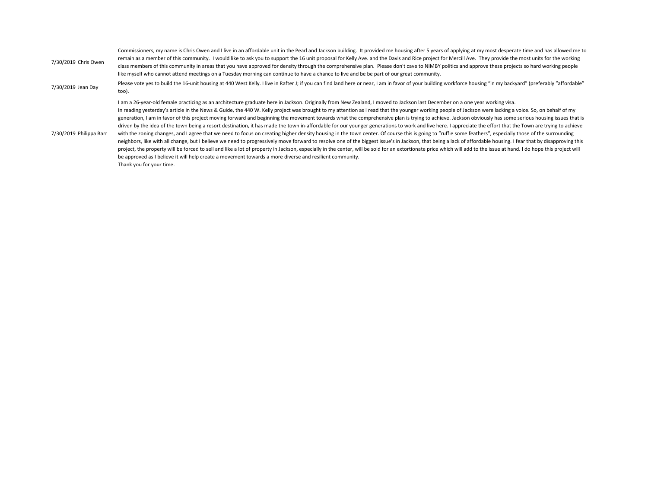| 7/30/2019 Chris Owen    | Commissioners, my name is Chris Owen and I live in an affordable unit in the Pearl and Jackson building. It provided me housing after 5 years of applying at my most desperate time and has allowed me to<br>remain as a member of this community. I would like to ask you to support the 16 unit proposal for Kelly Ave. and the Davis and Rice project for Mercill Ave. They provide the most units for the working<br>class members of this community in areas that you have approved for density through the comprehensive plan. Please don't cave to NIMBY politics and approve these projects so hard working people<br>like myself who cannot attend meetings on a Tuesday morning can continue to have a chance to live and be be part of our great community.                                                                                                                                                                                                                                                                                                                                                                                                                                                                                                                                                                                                                                                                                                                                                                                                                                            |
|-------------------------|-------------------------------------------------------------------------------------------------------------------------------------------------------------------------------------------------------------------------------------------------------------------------------------------------------------------------------------------------------------------------------------------------------------------------------------------------------------------------------------------------------------------------------------------------------------------------------------------------------------------------------------------------------------------------------------------------------------------------------------------------------------------------------------------------------------------------------------------------------------------------------------------------------------------------------------------------------------------------------------------------------------------------------------------------------------------------------------------------------------------------------------------------------------------------------------------------------------------------------------------------------------------------------------------------------------------------------------------------------------------------------------------------------------------------------------------------------------------------------------------------------------------------------------------------------------------------------------------------------------------|
| 7/30/2019 Jean Day      | Please vote yes to build the 16-unit housing at 440 West Kelly. I live in Rafter J; if you can find land here or near, I am in favor of your building workforce housing "in my backyard" (preferably "affordable"<br>too).                                                                                                                                                                                                                                                                                                                                                                                                                                                                                                                                                                                                                                                                                                                                                                                                                                                                                                                                                                                                                                                                                                                                                                                                                                                                                                                                                                                        |
| 7/30/2019 Philippa Barr | I am a 26-year-old female practicing as an architecture graduate here in Jackson. Originally from New Zealand, I moved to Jackson last December on a one year working visa.<br>In reading yesterday's article in the News & Guide, the 440 W. Kelly project was brought to my attention as I read that the younger working people of Jackson were lacking a voice. So, on behalf of my<br>generation, I am in favor of this project moving forward and beginning the movement towards what the comprehensive plan is trying to achieve. Jackson obviously has some serious housing issues that is<br>driven by the idea of the town being a resort destination, it has made the town in-affordable for our younger generations to work and live here. I appreciate the effort that the Town are trying to achieve<br>with the zoning changes, and I agree that we need to focus on creating higher density housing in the town center. Of course this is going to "ruffle some feathers", especially those of the surrounding<br>neighbors, like with all change, but I believe we need to progressively move forward to resolve one of the biggest issue's in Jackson, that being a lack of affordable housing. I fear that by disapproving this<br>project, the property will be forced to sell and like a lot of property in Jackson, especially in the center, will be sold for an extortionate price which will add to the issue at hand. I do hope this project will<br>be approved as I believe it will help create a movement towards a more diverse and resilient community.<br>Thank you for your time. |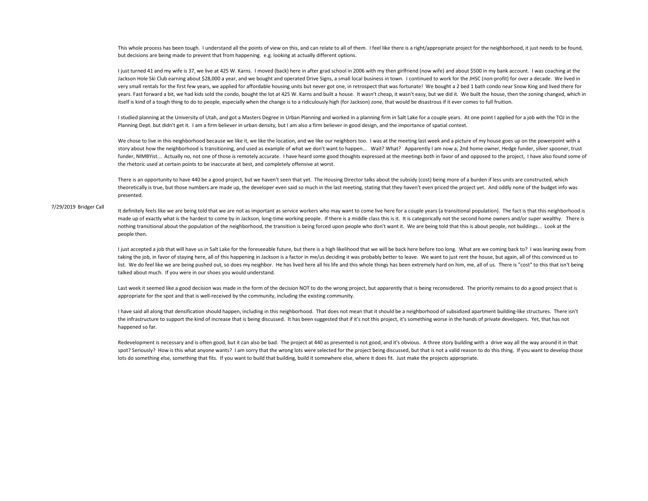This whole process has been tough. I understand all the points of view on this, and can relate to all of them. I feel like there is a right/appropriate project for the neighborhood, it just needs to be found, but decisions are being made to prevent that from happening. e.g. looking at actually different options.

I just turned 41 and my wife is 37, we live at 425 W. Karns. I moved (back) here in after grad school in 2006 with my then girlfriend (now wife) and about \$500 in my bank account. I was coaching at the Jackson Hole Ski Club earning about \$28,000 a year, and we bought and operated Drive Signs, a small local business in town. I continued to work for the JHSC (non-profit) for over a decade. We lived in very small rentals for the first few years, we applied for affordable housing units but never got one, in retrospect that was fortunate! We bought a 2 bed 1 bath condo near Snow King and lived there for years. Fast forward a bit, we had kids sold the condo, bought the lot at 425 W. Karns and built a house. It wasn't cheap, it wasn't easy, but we did it. We built the house, then the zoning changed, which in itself is kind of a tough thing to do to people, especially when the change is to a ridiculously high (for Jackson) zone, that would be disastrous if it ever comes to full fruition.

I studied planning at the University of Utah, and got a Masters Degree in Urban Planning and worked in a planning firm in Salt Lake for a couple years. At one point I applied for a job with the TOJ in the Planning Dept. but didn't get it. I am a firm believer in urban density, but I am also a firm believer in good design, and the importance of spatial context.

We chose to live in this neighborhood because we like it, we like the location, and we like our neighbors too. I was at the meeting last week and a picture of my house goes up on the powerpoint with a story about how the neighborhood is transitioning, and used as example of what we don't want to happen... Wait? What? Apparently I am now a; 2nd home owner, Hedge funder, silver spooner, trust funder, NIMBYist... Actually no, not one of those is remotely accurate. I have heard some good thoughts expressed at the meetings both in favor of and opposed to the project, I have also found some of the rhetoric used at certain points to be inaccurate at best, and completely offensive at worst.

There is an opportunity to have 440 be a good project, but we haven't seen that yet. The Housing Director talks about the subsidy (cost) being more of a burden if less units are constructed, which theoretically is true, but those numbers are made up, the developer even said so much in the last meeting, stating that they haven't even priced the project yet. And oddly none of the budget info was presented.

# 7/29/2019 Bridger Call

It definitely feels like we are being told that we are not as important as service workers who may want to come live here for a couple years (a transitional population). The fact is that this neighborhood is made up of exactly what is the hardest to come by in Jackson, long-time working people. If there is a middle class this is it. It is categorically not the second home owners and/or super wealthy. There is nothing transitional about the population of the neighborhood, the transition is being forced upon people who don't want it. We are being told that this is about people, not buildings... Look at the people then.

I just accepted a job that will have us in Salt Lake for the foreseeable future, but there is a high likelihood that we will be back here before too long. What are we coming back to? I was leaning away from taking the job, in favor of staying here, all of this happening in Jackson is a factor in me/us deciding it was probably better to leave. We want to just rent the house, but again, all of this convinced us to list. We do feel like we are being pushed out, so does my neighbor. He has lived here all his life and this whole things has been extremely hard on him, me, all of us. There is "cost" to this that isn't being talked about much. If you were in our shoes you would understand.

Last week it seemed like a good decision was made in the form of the decision NOT to do the wrong project, but apparently that is being reconsidered. The priority remains to do a good project that is appropriate for the spot and that is well-received by the community, including the existing community.

I have said all along that densification should happen, including in this neighborhood. That does not mean that it should be a neighborhood of subsidized apartment building-like structures. There isn't the infrastructure to support the kind of increase that is being discussed. It has been suggested that if it's not this project, it's something worse in the hands of private developers. Yet, that has not happened so far.

Redevelopment is necessary and is often good, but it can also be bad. The project at 440 as presented is not good, and it's obvious. A three story building with a drive way all the way around it in that spot? Seriously? How is this what anyone wants? I am sorry that the wrong lots were selected for the project being discussed, but that is not a valid reason to do this thing. If you want to develop those lots do something else, something that fits. If you want to build that building, build it somewhere else, where it does fit. Just make the projects appropriate.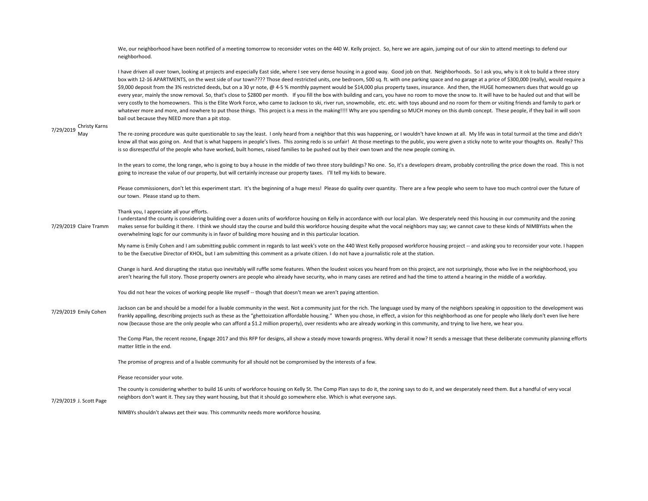We, our neighborhood have been notified of a meeting tomorrow to reconsider votes on the 440 W. Kelly project. So, here we are again, jumping out of our skin to attend meetings to defend our neighborhood.

I have driven all over town, looking at projects and especially East side, where I see very dense housing in a good way. Good job on that. Neighborhoods. So I ask you, why is it ok to build a three story box with 12-16 APARTMENTS, on the west side of our town???? Those deed restricted units, one bedroom, 500 sq. ft. with one parking space and no garage at a price of \$300,000 (really), would require a \$9,000 deposit from the 3% restricted deeds, but on a 30 yr note, @ 4-5 % monthly payment would be \$14,000 plus property taxes, insurance. And then, the HUGE homeowners dues that would go up every year, mainly the snow removal. So, that's close to \$2800 per month. If you fill the box with building and cars, you have no room to move the snow to. It will have to be hauled out and that will be very costly to the homeowners. This is the Elite Work Force, who came to Jackson to ski, river run, snowmobile, etc. etc. with toys abound and no room for them or visiting friends and family to park or whatever more and more, and nowhere to put those things. This project is a mess in the making!!!! Why are you spending so MUCH money on this dumb concept. These people, if they bail in will soon bail out because they NEED more than a pit stop.

# 7/29/2019 Christy Karns May

The re-zoning procedure was quite questionable to say the least. I only heard from a neighbor that this was happening, or I wouldn't have known at all. My life was in total turmoil at the time and didn't know all that was going on. And that is what happens in people's lives. This zoning redo is so unfair! At those meetings to the public, you were given a sticky note to write your thoughts on. Really? This is so disrespectful of the people who have worked, built homes, raised families to be pushed out by their own town and the new people coming in.

In the years to come, the long range, who is going to buy a house in the middle of two three story buildings? No one. So, it's a developers dream, probably controlling the price down the road. This is not going to increase the value of our property, but will certainly increase our property taxes. I'll tell my kids to beware.

Please commissioners, don't let this experiment start. It's the beginning of a huge mess! Please do quality over quantity. There are a few people who seem to have too much control over the future of our town. Please stand up to them.

Thank you, I appreciate all your efforts.

7/29/2019 Claire Tramm

I understand the county is considering building over a dozen units of workforce housing on Kelly in accordance with our local plan. We desperately need this housing in our community and the zoning makes sense for building it there. I think we should stay the course and build this workforce housing despite what the vocal neighbors may say; we cannot cave to these kinds of NIMBYists when the overwhelming logic for our community is in favor of building more housing and in this particular location.

My name is Emily Cohen and I am submitting public comment in regards to last week's vote on the 440 West Kelly proposed workforce housing project -- and asking you to reconsider your vote. I happen to be the Executive Director of KHOL, but I am submitting this comment as a private citizen. I do not have a journalistic role at the station.

Change is hard. And disrupting the status quo inevitably will ruffle some features. When the loudest voices you heard from on this project, are not surprisingly, those who live in the neighborhood, you aren't hearing the full story. Those property owners are people who already have security, who in many cases are retired and had the time to attend a hearing in the middle of a workday.

You did not hear the voices of working people like myself -- though that doesn't mean we aren't paying attention.

7/29/2019 Emily Cohen Jackson can be and should be a model for a livable community in the west. Not a community just for the rich. The language used by many of the neighbors speaking in opposition to the development was frankly appalling, describing projects such as these as the "ghettoization affordable housing." When you chose, in effect, a vision for this neighborhood as one for people who likely don't even live here now (because those are the only people who can afford a \$1.2 million property), over residents who are already working in this community, and trying to live here, we hear you.

> The Comp Plan, the recent rezone, Engage 2017 and this RFP for designs, all show a steady move towards progress. Why derail it now? It sends a message that these deliberate community planning efforts matter little in the end.

The promise of progress and of a livable community for all should not be compromised by the interests of a few.

Please reconsider your vote.

The county is considering whether to build 16 units of workforce housing on Kelly St. The Comp Plan says to do it, the zoning says to do it, and we desperately need them. But a handful of very vocal neighbors don't want it. They say they want housing, but that it should go somewhere else. Which is what everyone says.

7/29/2019 J. Scott Page

NIMBYs shouldn't always get their way. This community needs more workforce housing.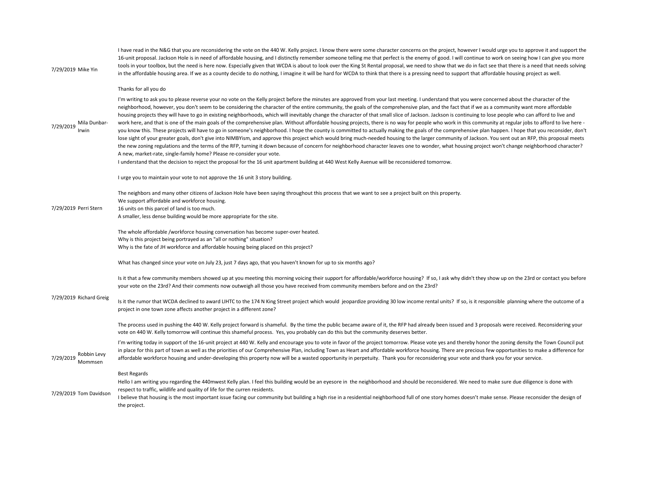| 7/29/2019 Mike Yin                  | I have read in the N&G that you are reconsidering the vote on the 440 W. Kelly project. I know there were some character concerns on the project, however I would urge you to approve it and support the<br>16-unit proposal. Jackson Hole is in need of affordable housing, and I distinctly remember someone telling me that perfect is the enemy of good. I will continue to work on seeing how I can give you more<br>tools in your toolbox, but the need is here now. Especially given that WCDA is about to look over the King St Rental proposal, we need to show that we do in fact see that there is a need that needs solving<br>in the affordable housing area. If we as a county decide to do nothing, I imagine it will be hard for WCDA to think that there is a pressing need to support that affordable housing project as well.                                                                                                                                                                                                                                                                                                                                                                                                                                                                                                                                                                                                                                                                                                                                                                                                                                              |
|-------------------------------------|-----------------------------------------------------------------------------------------------------------------------------------------------------------------------------------------------------------------------------------------------------------------------------------------------------------------------------------------------------------------------------------------------------------------------------------------------------------------------------------------------------------------------------------------------------------------------------------------------------------------------------------------------------------------------------------------------------------------------------------------------------------------------------------------------------------------------------------------------------------------------------------------------------------------------------------------------------------------------------------------------------------------------------------------------------------------------------------------------------------------------------------------------------------------------------------------------------------------------------------------------------------------------------------------------------------------------------------------------------------------------------------------------------------------------------------------------------------------------------------------------------------------------------------------------------------------------------------------------------------------------------------------------------------------------------------------------|
|                                     | Thanks for all you do                                                                                                                                                                                                                                                                                                                                                                                                                                                                                                                                                                                                                                                                                                                                                                                                                                                                                                                                                                                                                                                                                                                                                                                                                                                                                                                                                                                                                                                                                                                                                                                                                                                                         |
| Mila Dunbar-<br>7/29/2019<br>Irwin  | I'm writing to ask you to please reverse your no vote on the Kelly project before the minutes are approved from your last meeting. I understand that you were concerned about the character of the<br>neighborhood, however, you don't seem to be considering the character of the entire community, the goals of the comprehensive plan, and the fact that if we as a community want more affordable<br>housing projects they will have to go in existing neighborhoods, which will inevitably change the character of that small slice of Jackson. Jackson is continuing to lose people who can afford to live and<br>work here, and that is one of the main goals of the comprehensive plan. Without affordable housing projects, there is no way for people who work in this community at regular jobs to afford to live here -<br>you know this. These projects will have to go in someone's neighborhood. I hope the county is committed to actually making the goals of the comprehensive plan happen. I hope that you reconsider, don't<br>lose sight of your greater goals, don't give into NIMBYism, and approve this project which would bring much-needed housing to the larger community of Jackson. You sent out an RFP, this proposal meets<br>the new zoning regulations and the terms of the RFP, turning it down because of concern for neighborhood character leaves one to wonder, what housing project won't change neighborhood character?<br>A new, market-rate, single-family home? Please re-consider your vote.<br>I understand that the decision to reject the proposal for the 16 unit apartment building at 440 West Kelly Avenue will be reconsidered tomorrow. |
|                                     | I urge you to maintain your vote to not approve the 16 unit 3 story building.                                                                                                                                                                                                                                                                                                                                                                                                                                                                                                                                                                                                                                                                                                                                                                                                                                                                                                                                                                                                                                                                                                                                                                                                                                                                                                                                                                                                                                                                                                                                                                                                                 |
| 7/29/2019 Perri Stern               | The neighbors and many other citizens of Jackson Hole have been saying throughout this process that we want to see a project built on this property.<br>We support affordable and workforce housing.<br>16 units on this parcel of land is too much.<br>A smaller, less dense building would be more appropriate for the site.                                                                                                                                                                                                                                                                                                                                                                                                                                                                                                                                                                                                                                                                                                                                                                                                                                                                                                                                                                                                                                                                                                                                                                                                                                                                                                                                                                |
|                                     | The whole affordable /workforce housing conversation has become super-over heated.<br>Why is this project being portrayed as an "all or nothing" situation?<br>Why is the fate of JH workforce and affordable housing being placed on this project?                                                                                                                                                                                                                                                                                                                                                                                                                                                                                                                                                                                                                                                                                                                                                                                                                                                                                                                                                                                                                                                                                                                                                                                                                                                                                                                                                                                                                                           |
|                                     | What has changed since your vote on July 23, just 7 days ago, that you haven't known for up to six months ago?                                                                                                                                                                                                                                                                                                                                                                                                                                                                                                                                                                                                                                                                                                                                                                                                                                                                                                                                                                                                                                                                                                                                                                                                                                                                                                                                                                                                                                                                                                                                                                                |
|                                     | Is it that a few community members showed up at you meeting this morning voicing their support for affordable/workforce housing? If so, I ask why didn't they show up on the 23rd or contact you before<br>your vote on the 23rd? And their comments now outweigh all those you have received from community members before and on the 23rd?                                                                                                                                                                                                                                                                                                                                                                                                                                                                                                                                                                                                                                                                                                                                                                                                                                                                                                                                                                                                                                                                                                                                                                                                                                                                                                                                                  |
| 7/29/2019 Richard Greig             | Is it the rumor that WCDA declined to award LIHTC to the 174 N King Street project which would jeopardize providing 30 low income rental units? If so, is it responsible planning where the outcome of a<br>project in one town zone affects another project in a different zone?                                                                                                                                                                                                                                                                                                                                                                                                                                                                                                                                                                                                                                                                                                                                                                                                                                                                                                                                                                                                                                                                                                                                                                                                                                                                                                                                                                                                             |
|                                     | The process used in pushing the 440 W. Kelly project forward is shameful. By the time the public became aware of it, the RFP had already been issued and 3 proposals were received. Reconsidering your<br>vote on 440 W. Kelly tomorrow will continue this shameful process. Yes, you probably can do this but the community deserves better.                                                                                                                                                                                                                                                                                                                                                                                                                                                                                                                                                                                                                                                                                                                                                                                                                                                                                                                                                                                                                                                                                                                                                                                                                                                                                                                                                 |
| Robbin Levy<br>7/29/2019<br>Mommsen | I'm writing today in support of the 16-unit project at 440 W. Kelly and encourage you to vote in favor of the project tomorrow. Please vote yes and thereby honor the zoning density the Town Council put<br>in place for this part of town as well as the priorities of our Comprehensive Plan, including Town as Heart and affordable workforce housing. There are precious few opportunities to make a difference for<br>affordable workforce housing and under-developing this property now will be a wasted opportunity in perpetuity. Thank you for reconsidering your vote and thank you for your service.                                                                                                                                                                                                                                                                                                                                                                                                                                                                                                                                                                                                                                                                                                                                                                                                                                                                                                                                                                                                                                                                             |
| 7/29/2019 Tom Davidson              | <b>Best Regards</b><br>Hello I am writing you regarding the 440mwest Kelly plan. I feel this building would be an eyesore in the neighborhood and should be reconsidered. We need to make sure due diligence is done with<br>respect to traffic, wildlife and quality of life for the curren residents.<br>I believe that housing is the most important issue facing our community but building a high rise in a residential neighborhood full of one story homes doesn't make sense. Please reconsider the design of<br>the project.                                                                                                                                                                                                                                                                                                                                                                                                                                                                                                                                                                                                                                                                                                                                                                                                                                                                                                                                                                                                                                                                                                                                                         |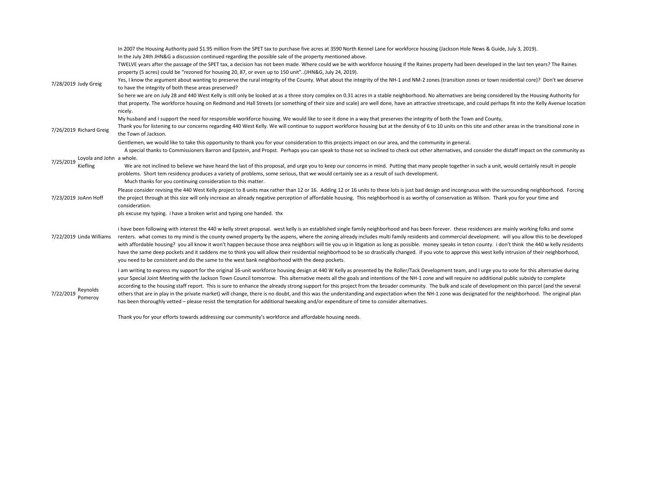| In the July 24th JHN&G a discussion continued regarding the possible sale of the property mentioned above.<br>TWELVE years after the passage of the SPET tax, a decision has not been made. Where could we be with workforce housing if the Raines property had been developed in the last ten years? The Raines<br>property (5 acres) could be "rezoned for housing 20, 87, or even up to 150 unit"(JHN&G, July 24, 2019).<br>Yes, I know the argument about wanting to preserve the rural integrity of the County. What about the integrity of the NH-1 and NM-2 zones (transition zones or town residential core)? Don't we deserve<br>7/28/2019 Judy Greig<br>to have the integrity of both these areas preserved?<br>So here we are on July 28 and 440 West Kelly is still only be looked at as a three story complex on 0.31 acres in a stable neighborhood. No alternatives are being considered by the Housing Authority for<br>that property. The workforce housing on Redmond and Hall Streets (or something of their size and scale) are well done, have an attractive streetscape, and could perhaps fit into the Kelly Avenue location<br>nicely.<br>My husband and I support the need for responsible workforce housing. We would like to see it done in a way that preserves the integrity of both the Town and County,<br>Thank you for listening to our concerns regarding 440 West Kelly. We will continue to support workforce housing but at the density of 6 to 10 units on this site and other areas in the transitional zone in<br>7/26/2019 Richard Greig |  |
|-----------------------------------------------------------------------------------------------------------------------------------------------------------------------------------------------------------------------------------------------------------------------------------------------------------------------------------------------------------------------------------------------------------------------------------------------------------------------------------------------------------------------------------------------------------------------------------------------------------------------------------------------------------------------------------------------------------------------------------------------------------------------------------------------------------------------------------------------------------------------------------------------------------------------------------------------------------------------------------------------------------------------------------------------------------------------------------------------------------------------------------------------------------------------------------------------------------------------------------------------------------------------------------------------------------------------------------------------------------------------------------------------------------------------------------------------------------------------------------------------------------------------------------------------------------------------------------|--|
|                                                                                                                                                                                                                                                                                                                                                                                                                                                                                                                                                                                                                                                                                                                                                                                                                                                                                                                                                                                                                                                                                                                                                                                                                                                                                                                                                                                                                                                                                                                                                                                   |  |
|                                                                                                                                                                                                                                                                                                                                                                                                                                                                                                                                                                                                                                                                                                                                                                                                                                                                                                                                                                                                                                                                                                                                                                                                                                                                                                                                                                                                                                                                                                                                                                                   |  |
|                                                                                                                                                                                                                                                                                                                                                                                                                                                                                                                                                                                                                                                                                                                                                                                                                                                                                                                                                                                                                                                                                                                                                                                                                                                                                                                                                                                                                                                                                                                                                                                   |  |
|                                                                                                                                                                                                                                                                                                                                                                                                                                                                                                                                                                                                                                                                                                                                                                                                                                                                                                                                                                                                                                                                                                                                                                                                                                                                                                                                                                                                                                                                                                                                                                                   |  |
|                                                                                                                                                                                                                                                                                                                                                                                                                                                                                                                                                                                                                                                                                                                                                                                                                                                                                                                                                                                                                                                                                                                                                                                                                                                                                                                                                                                                                                                                                                                                                                                   |  |
|                                                                                                                                                                                                                                                                                                                                                                                                                                                                                                                                                                                                                                                                                                                                                                                                                                                                                                                                                                                                                                                                                                                                                                                                                                                                                                                                                                                                                                                                                                                                                                                   |  |
| the Town of Jackson.                                                                                                                                                                                                                                                                                                                                                                                                                                                                                                                                                                                                                                                                                                                                                                                                                                                                                                                                                                                                                                                                                                                                                                                                                                                                                                                                                                                                                                                                                                                                                              |  |
| Gentlemen, we would like to take this opportunity to thank you for your consideration to this projects impact on our area, and the community in general.                                                                                                                                                                                                                                                                                                                                                                                                                                                                                                                                                                                                                                                                                                                                                                                                                                                                                                                                                                                                                                                                                                                                                                                                                                                                                                                                                                                                                          |  |
| A special thanks to Commissioners Barron and Epstein, and Propst. Perhaps you can speak to those not so inclined to check out other alternatives, and consider the distaff impact on the community as                                                                                                                                                                                                                                                                                                                                                                                                                                                                                                                                                                                                                                                                                                                                                                                                                                                                                                                                                                                                                                                                                                                                                                                                                                                                                                                                                                             |  |
| Loyola and John a whole.                                                                                                                                                                                                                                                                                                                                                                                                                                                                                                                                                                                                                                                                                                                                                                                                                                                                                                                                                                                                                                                                                                                                                                                                                                                                                                                                                                                                                                                                                                                                                          |  |
| 7/25/2019<br>We are not inclined to believe we have heard the last of this proposal, and urge you to keep our concerns in mind. Putting that many people together in such a unit, would certainly result in people<br>Kiefling                                                                                                                                                                                                                                                                                                                                                                                                                                                                                                                                                                                                                                                                                                                                                                                                                                                                                                                                                                                                                                                                                                                                                                                                                                                                                                                                                    |  |
| problems. Short tem residency produces a variety of problems, some serious, that we would certainly see as a result of such development.<br>Much thanks for you continuing consideration to this matter.                                                                                                                                                                                                                                                                                                                                                                                                                                                                                                                                                                                                                                                                                                                                                                                                                                                                                                                                                                                                                                                                                                                                                                                                                                                                                                                                                                          |  |
| Please consider revising the 440 West Kelly project to 8 units max rather than 12 or 16. Adding 12 or 16 units to these lots is just bad design and incongruous with the surrounding neighborhood. Forcing                                                                                                                                                                                                                                                                                                                                                                                                                                                                                                                                                                                                                                                                                                                                                                                                                                                                                                                                                                                                                                                                                                                                                                                                                                                                                                                                                                        |  |
| the project through at this size will only increase an already negative perception of affordable housing. This neighborhood is as worthy of conservation as Wilson. Thank you for your time and<br>7/23/2019 JoAnn Hoff<br>consideration.                                                                                                                                                                                                                                                                                                                                                                                                                                                                                                                                                                                                                                                                                                                                                                                                                                                                                                                                                                                                                                                                                                                                                                                                                                                                                                                                         |  |
| pls excuse my typing. i have a broken wrist and typing one handed. thx                                                                                                                                                                                                                                                                                                                                                                                                                                                                                                                                                                                                                                                                                                                                                                                                                                                                                                                                                                                                                                                                                                                                                                                                                                                                                                                                                                                                                                                                                                            |  |
| i have been following with interest the 440 w kelly street proposal. west kelly is an established single family neighborhood and has been forever. these residences are mainly working folks and some<br>renters. what comes to my mind is the county owned property by the aspens, where the zoning already includes multi family residents and commercial development. will you allow this to be developed<br>7/22/2019 Linda Williams<br>with affordable housing? you all know it won't happen because those area neighbors will tie you up in litigation as long as possible. money speaks in teton county. i don't think the 440 w kelly residents<br>have the same deep pockets and it saddens me to think you will allow their residential neighborhood to be so drastically changed. if you vote to approve this west kelly intrusion of their neighborhood,<br>you need to be consistent and do the same to the west bank neighborhood with the deep pockets.                                                                                                                                                                                                                                                                                                                                                                                                                                                                                                                                                                                                            |  |
| I am writing to express my support for the original 16-unit workforce housing design at 440 W Kelly as presented by the Roller/Tack Development team, and I urge you to vote for this alternative during<br>your Special Joint Meeting with the Jackson Town Council tomorrow. This alternative meets all the goals and intentions of the NH-1 zone and will require no additional public subsidy to complete<br>according to the housing staff report. This is sure to enhance the already strong support for this project from the broader community. The bulk and scale of development on this parcel (and the several<br>Reynolds<br>others that are in play in the private market) will change, there is no doubt, and this was the understanding and expectation when the NH-1 zone was designated for the neighborhood. The original plan<br>7/22/2019<br>Pomeroy<br>has been thoroughly vetted - please resist the temptation for additional tweaking and/or expenditure of time to consider alternatives.                                                                                                                                                                                                                                                                                                                                                                                                                                                                                                                                                                |  |

Thank you for your efforts towards addressing our community's workforce and affordable housing needs.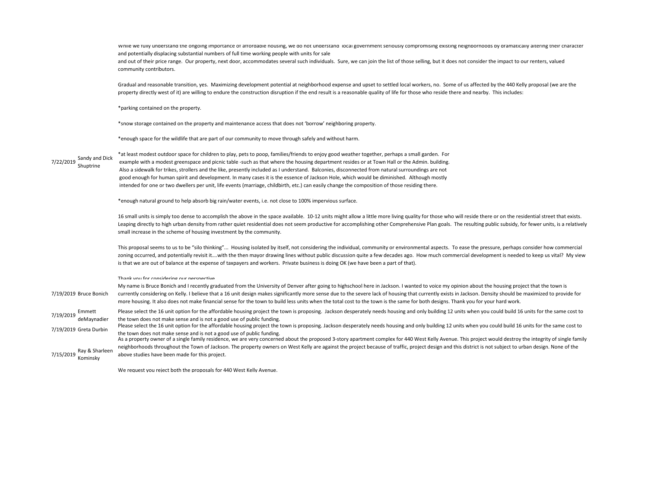While we fully understand the ongoing importance of affordable housing, we do not understand local government seriously compromising existing neighborhoods by dramatically altering their character and potentially displacing substantial numbers of full time working people with units for sale and out of their price range. Our property, next door, accommodates several such individuals. Sure, we can join the list of those selling, but it does not consider the impact to our renters, valued

community contributors.

Gradual and reasonable transition, yes. Maximizing development potential at neighborhood expense and upset to settled local workers, no. Some of us affected by the 440 Kelly proposal (we are the property directly west of it) are willing to endure the construction disruption if the end result is a reasonable quality of life for those who reside there and nearby. This includes:

\*parking contained on the property.

\*snow storage contained on the property and maintenance access that does not 'borrow' neighboring property.

\*enough space for the wildlife that are part of our community to move through safely and without harm.

7/22/2019 Sandy and Dick Shuptrine

\*at least modest outdoor space for children to play, pets to poop, families/friends to enjoy good weather together, perhaps a small garden. For example with a modest greenspace and picnic table -such as that where the housing department resides or at Town Hall or the Admin. building. Also a sidewalk for trikes, strollers and the like, presently included as I understand. Balconies, disconnected from natural surroundings are not good enough for human spirit and development. In many cases it is the essence of Jackson Hole, which would be diminished. Although mostly intended for one or two dwellers per unit, life events (marriage, childbirth, etc.) can easily change the composition of those residing there.

\*enough natural ground to help absorb big rain/water events, i.e. not close to 100% impervious surface.

16 small units is simply too dense to accomplish the above in the space available. 10-12 units might allow a little more living quality for those who will reside there or on the residential street that exists. Leaping directly to high urban density from rather quiet residential does not seem productive for accomplishing other Comprehensive Plan goals. The resulting public subsidy, for fewer units, is a relatively small increase in the scheme of housing investment by the community.

This proposal seems to us to be "silo thinking"... Housing isolated by itself, not considering the individual, community or environmental aspects. To ease the pressure, perhaps consider how commercial zoning occurred, and potentially revisit it….with the then mayor drawing lines without public discussion quite a few decades ago. How much commercial development is needed to keep us vital? My view is that we are out of balance at the expense of taxpayers and workers. Private business is doing OK (we have been a part of that).

Thank you for considering our perspective

7/19/2019 Bruce Bonich My name is Bruce Bonich and I recently graduated from the University of Denver after going to highschool here in Jackson. I wanted to voice my opinion about the housing project that the town is currently considering on Kelly. I believe that a 16 unit design makes significantly more sense due to the severe lack of housing that currently exists in Jackson. Density should be maximized to provide for more housing. It also does not make financial sense for the town to build less units when the total cost to the town is the same for both designs. Thank you for your hard work.

7/19/2019 Emmett deMaynadier Please select the 16 unit option for the affordable housing project the town is proposing. Jackson desperately needs housing and only building 12 units when you could build 16 units for the same cost to the town does not make sense and is not a good use of public funding.

Please select the 16 unit option for the affordable housing project the town is proposing. Jackson desperately needs housing and only building 12 units when you could build 16 units for the same cost to the town does not make sense and is not a good use of public funding.

7/15/2019 Ray & Sharleen As a property owner of a single family residence, we are very concerned about the proposed 3-story apartment complex for 440 West Kelly Avenue. This project would destroy the integrity of single family neighborhoods throughout the Town of Jackson. The property owners on West Kelly are against the project because of traffic, project design and this district is not subject to urban design. None of the above studies have been made for this project.

Kominsky

We request you reject both the proposals for 440 West Kelly Avenue.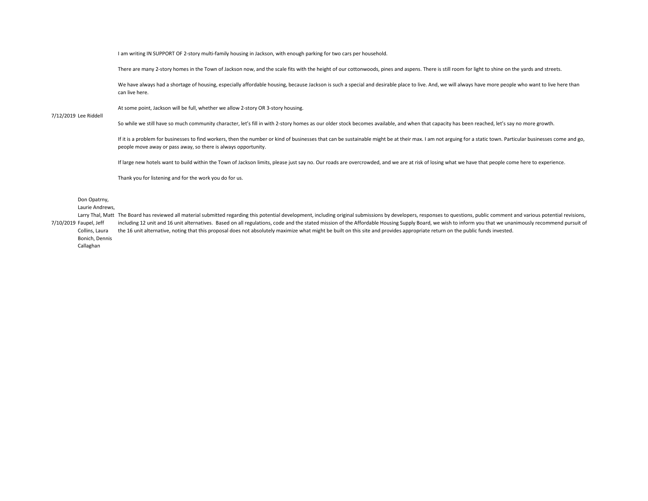I am writing IN SUPPORT OF 2-story multi-family housing in Jackson, with enough parking for two cars per household.

There are many 2-story homes in the Town of Jackson now, and the scale fits with the height of our cottonwoods, pines and aspens. There is still room for light to shine on the yards and streets.

We have always had a shortage of housing, especially affordable housing, because Jackson is such a special and desirable place to live. And, we will always have more people who want to live here than can live here.

At some point, Jackson will be full, whether we allow 2-story OR 3-story housing.

## 7/12/2019 Lee Riddell

So while we still have so much community character, let's fill in with 2-story homes as our older stock becomes available, and when that capacity has been reached, let's say no more growth.

If it is a problem for businesses to find workers, then the number or kind of businesses that can be sustainable might be at their max. I am not arguing for a static town. Particular businesses come and go, people move away or pass away, so there is always opportunity.

If large new hotels want to build within the Town of Jackson limits, please just say no. Our roads are overcrowded, and we are at risk of losing what we have that people come here to experience.

Thank you for listening and for the work you do for us.

## Don Opatrny,

## Laurie Andrews,

7/10/2019 Faupel, Jeff Larry Thal, Matt The Board has reviewed all material submitted regarding this potential development, including original submissions by developers, responses to questions, public comment and various potential revisions, Collins, Laura Bonich, Dennis Callaghan including 12 unit and 16 unit alternatives. Based on all regulations, code and the stated mission of the Affordable Housing Supply Board, we wish to inform you that we unanimously recommend pursuit of the 16 unit alternative, noting that this proposal does not absolutely maximize what might be built on this site and provides appropriate return on the public funds invested.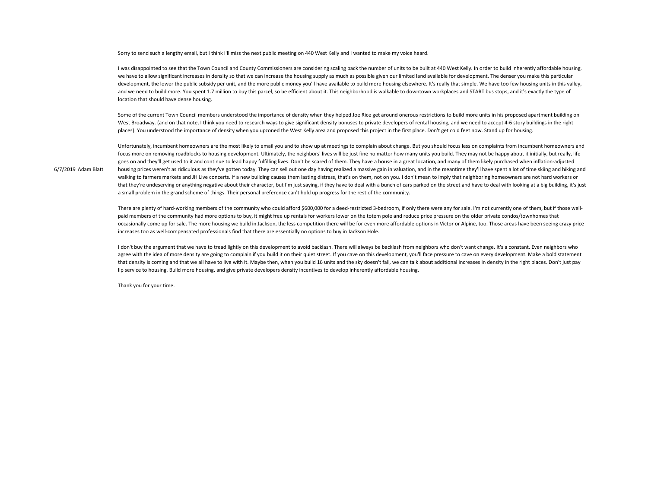Sorry to send such a lengthy email, but I think I'll miss the next public meeting on 440 West Kelly and I wanted to make my voice heard.

I was disappointed to see that the Town Council and County Commissioners are considering scaling back the number of units to be built at 440 West Kelly. In order to build inherently affordable housing, we have to allow significant increases in density so that we can increase the housing supply as much as possible given our limited land available for development. The denser you make this particular development, the lower the public subsidy per unit, and the more public money you'll have available to build more housing elsewhere. It's really that simple. We have too few housing units in this valley, and we need to build more. You spent 1.7 million to buy this parcel, so be efficient about it. This neighborhood is walkable to downtown workplaces and START bus stops, and it's exactly the type of location that should have dense housing.

Some of the current Town Council members understood the importance of density when they helped Joe Rice get around onerous restrictions to build more units in his proposed apartment building on West Broadway. (and on that note, I think you need to research ways to give significant density bonuses to private developers of rental housing, and we need to accept 4-6 story buildings in the right places). You understood the importance of density when you upzoned the West Kelly area and proposed this project in the first place. Don't get cold feet now. Stand up for housing.

6/7/2019 Adam Blatt Unfortunately, incumbent homeowners are the most likely to email you and to show up at meetings to complain about change. But you should focus less on complaints from incumbent homeowners and focus more on removing roadblocks to housing development. Ultimately, the neighbors' lives will be just fine no matter how many units you build. They may not be happy about it initially, but really, life goes on and they'll get used to it and continue to lead happy fulfilling lives. Don't be scared of them. They have a house in a great location, and many of them likely purchased when inflation-adjusted housing prices weren't as ridiculous as they've gotten today. They can sell out one day having realized a massive gain in valuation, and in the meantime they'll have spent a lot of time skiing and hiking and walking to farmers markets and JH Live concerts. If a new building causes them lasting distress, that's on them, not on you. I don't mean to imply that neighboring homeowners are not hard workers or that they're undeserving or anything negative about their character, but I'm just saying, if they have to deal with a bunch of cars parked on the street and have to deal with looking at a big building, it's just a small problem in the grand scheme of things. Their personal preference can't hold up progress for the rest of the community.

> There are plenty of hard-working members of the community who could afford \$600,000 for a deed-restricted 3-bedroom, if only there were any for sale. I'm not currently one of them, but if those wellpaid members of the community had more options to buy, it might free up rentals for workers lower on the totem pole and reduce price pressure on the older private condos/townhomes that occasionally come up for sale. The more housing we build in Jackson, the less competition there will be for even more affordable options in Victor or Alpine, too. Those areas have been seeing crazy price increases too as well-compensated professionals find that there are essentially no options to buy in Jackson Hole.

> I don't buy the argument that we have to tread lightly on this development to avoid backlash. There will always be backlash from neighbors who don't want change. It's a constant. Even neighbors who agree with the idea of more density are going to complain if you build it on their quiet street. If you cave on this development, you'll face pressure to cave on every development. Make a bold statement that density is coming and that we all have to live with it. Maybe then, when you build 16 units and the sky doesn't fall, we can talk about additional increases in density in the right places. Don't just pay lip service to housing. Build more housing, and give private developers density incentives to develop inherently affordable housing.

Thank you for your time.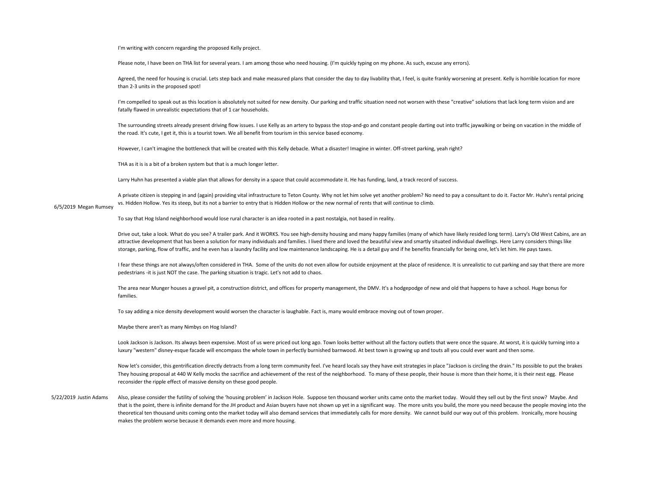I'm writing with concern regarding the proposed Kelly project.

Please note, I have been on THA list for several years. I am among those who need housing. (I'm quickly typing on my phone. As such, excuse any errors).

Agreed, the need for housing is crucial. Lets step back and make measured plans that consider the day to day livability that, I feel, is quite frankly worsening at present. Kelly is horrible location for more than 2-3 units in the proposed spot!

I'm compelled to speak out as this location is absolutely not suited for new density. Our parking and traffic situation need not worsen with these "creative" solutions that lack long term vision and are fatally flawed in unrealistic expectations that of 1 car households.

The surrounding streets already present driving flow issues. I use Kelly as an artery to bypass the stop-and-go and constant people darting out into traffic jaywalking or being on vacation in the middle of the road. It's cute, I get it, this is a tourist town. We all benefit from tourism in this service based economy.

However, I can't imagine the bottleneck that will be created with this Kelly debacle. What a disaster! Imagine in winter. Off-street parking, yeah right?

THA as it is is a bit of a broken system but that is a much longer letter.

Larry Huhn has presented a viable plan that allows for density in a space that could accommodate it. He has funding, land, a track record of success.

A private citizen is stepping in and (again) providing vital infrastructure to Teton County. Why not let him solve yet another problem? No need to pay a consultant to do it. Factor Mr. Huhn's rental pricing vs. Hidden Hollow. Yes its steep, but its not a barrier to entry that is Hidden Hollow or the new normal of rents that will continue to climb.

### 6/5/2019 Megan Rumsey

To say that Hog Island neighborhood would lose rural character is an idea rooted in a past nostalgia, not based in reality.

Drive out, take a look. What do you see? A trailer park. And it WORKS. You see high-density housing and many happy families (many of which have likely resided long term). Larry's Old West Cabins. are an attractive development that has been a solution for many individuals and families. I lived there and loved the beautiful view and smartly situated individual dwellings. Here Larry considers things like storage, parking, flow of traffic, and he even has a laundry facility and low maintenance landscaping. He is a detail guy and if he benefits financially for being one, let's let him. He pays taxes.

I fear these things are not always/often considered in THA. Some of the units do not even allow for outside enjoyment at the place of residence. It is unrealistic to cut parking and say that there are more pedestrians -it is just NOT the case. The parking situation is tragic. Let's not add to chaos.

The area near Munger houses a gravel pit, a construction district, and offices for property management, the DMV. It's a hodgepodge of new and old that happens to have a school. Huge bonus for families.

To say adding a nice density development would worsen the character is laughable. Fact is, many would embrace moving out of town proper.

Maybe there aren't as many Nimbys on Hog Island?

Look Jackson is Jackson. Its always been expensive. Most of us were priced out long ago. Town looks better without all the factory outlets that were once the square. At worst, it is quickly turning into a luxury "western" disney-esque facade will encompass the whole town in perfectly burnished barnwood. At best town is growing up and touts all you could ever want and then some.

Now let's consider, this gentrification directly detracts from a long term community feel. I've heard locals say they have exit strategies in place "Jackson is circling the drain." Its possible to put the brakes They housing proposal at 440 W Kelly mocks the sacrifice and achievement of the rest of the neighborhood. To many of these people, their house is more than their home, it is their nest egg. Please reconsider the ripple effect of massive density on these good people.

5/22/2019 Justin Adams Also, please consider the futility of solving the 'housing problem' in Jackson Hole. Suppose ten thousand worker units came onto the market today. Would they sell out by the first snow? Maybe. And that is the point, there is infinite demand for the JH product and Asian buyers have not shown up yet in a significant way. The more units you build, the more you need because the people moving into the theoretical ten thousand units coming onto the market today will also demand services that immediately calls for more density. We cannot build our way out of this problem. Ironically, more housing makes the problem worse because it demands even more and more housing.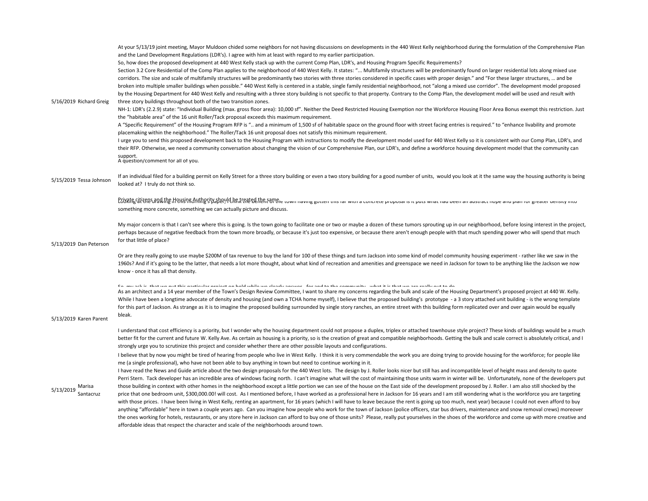| 5/16/2019 Richard Greig          | At your 5/13/19 joint meeting, Mayor Muldoon chided some neighbors for not having discussions on developments in the 440 West Kelly neighborhood during the formulation of the Comprehensive Plan<br>and the Land Development Regulations (LDR's). I agree with him at least with regard to my earlier participation.<br>So, how does the proposed development at 440 West Kelly stack up with the current Comp Plan, LDR's, and Housing Program Specific Requirements?<br>Section 3.2 Core Residential of the Comp Plan applies to the neighborhood of 440 West Kelly. It states: " Multifamily structures will be predominantly found on larger residential lots along mixed use<br>corridors. The size and scale of multifamily structures will be predominantly two stories with three stories considered in specific cases with proper design." and "For these larger structures,  and be<br>broken into multiple smaller buildings when possible." 440 West Kelly is centered in a stable, single family residential neighborhood, not "along a mixed use corridor". The development model proposed<br>by the Housing Department for 440 West Kelly and resulting with a three story building is not specific to that property. Contrary to the Comp Plan, the development model will be used and result with<br>three story buildings throughout both of the two transition zones.<br>NH-1: LDR's (2.2.9) state: "Individual Building (max. gross floor area): 10,000 sf". Neither the Deed Restricted Housing Exemption nor the Workforce Housing Floor Area Bonus exempt this restriction. Just<br>the "habitable area" of the 16 unit Roller/Tack proposal exceeds this maximum requirement.<br>A "Specific Requirement" of the Housing Program RFP is " and a minimum of 1,500 sf of habitable space on the ground floor with street facing entries is required." to "enhance livability and promote<br>placemaking within the neighborhood." The Roller/Tack 16 unit proposal does not satisfy this minimum requirement.<br>I urge you to send this proposed development back to the Housing Program with instructions to modify the development model used for 440 West Kelly so it is consistent with our Comp Plan, LDR's, and<br>their RFP. Otherwise, we need a community conversation about changing the vision of our Comprehensive Plan, our LDR's, and define a workforce housing development model that the community can<br>support.<br>A question/comment for all of you. |
|----------------------------------|---------------------------------------------------------------------------------------------------------------------------------------------------------------------------------------------------------------------------------------------------------------------------------------------------------------------------------------------------------------------------------------------------------------------------------------------------------------------------------------------------------------------------------------------------------------------------------------------------------------------------------------------------------------------------------------------------------------------------------------------------------------------------------------------------------------------------------------------------------------------------------------------------------------------------------------------------------------------------------------------------------------------------------------------------------------------------------------------------------------------------------------------------------------------------------------------------------------------------------------------------------------------------------------------------------------------------------------------------------------------------------------------------------------------------------------------------------------------------------------------------------------------------------------------------------------------------------------------------------------------------------------------------------------------------------------------------------------------------------------------------------------------------------------------------------------------------------------------------------------------------------------------------------------------------------------------------------------------------------------------------------------------------------------------------------------------------------------------------------------------------------------------------------------------------------------------------------------------------------------------------------------------------------------------------------------------------------------------------------------------------------------------------------------------------------------------------------------------------------------------------|
| 5/15/2019 Tessa Johnson          | If an individual filed for a building permit on Kelly Street for a three story building or even a two story building for a good number of units, would you look at it the same way the housing authority is being<br>looked at? I truly do not think so.                                                                                                                                                                                                                                                                                                                                                                                                                                                                                                                                                                                                                                                                                                                                                                                                                                                                                                                                                                                                                                                                                                                                                                                                                                                                                                                                                                                                                                                                                                                                                                                                                                                                                                                                                                                                                                                                                                                                                                                                                                                                                                                                                                                                                                          |
| 5/13/2019 Dan Peterson           | Private citizens and the Housing Authority should be treated the same.<br>Looking at the throwing in this morning s paper, i think the benent of the cown naving gotten this rarm win a concrete proposaris it puts what had been<br>something more concrete, something we can actually picture and discuss.                                                                                                                                                                                                                                                                                                                                                                                                                                                                                                                                                                                                                                                                                                                                                                                                                                                                                                                                                                                                                                                                                                                                                                                                                                                                                                                                                                                                                                                                                                                                                                                                                                                                                                                                                                                                                                                                                                                                                                                                                                                                                                                                                                                      |
|                                  | My major concern is that I can't see where this is going. Is the town going to facilitate one or two or maybe a dozen of these tumors sprouting up in our neighborhood, before losing interest in the project,<br>perhaps because of negative feedback from the town more broadly, or because it's just too expensive, or because there aren't enough people with that much spending power who will spend that much<br>for that little of place?                                                                                                                                                                                                                                                                                                                                                                                                                                                                                                                                                                                                                                                                                                                                                                                                                                                                                                                                                                                                                                                                                                                                                                                                                                                                                                                                                                                                                                                                                                                                                                                                                                                                                                                                                                                                                                                                                                                                                                                                                                                  |
|                                  | Or are they really going to use maybe \$200M of tax revenue to buy the land for 100 of these things and turn Jackson into some kind of model community housing experiment - rather like we saw in the<br>1960s? And if it's going to be the latter, that needs a lot more thought, about what kind of recreation and amenities and greenspace we need in Jackson for town to be anything like the Jackson we now<br>know - once it has all that density.                                                                                                                                                                                                                                                                                                                                                                                                                                                                                                                                                                                                                                                                                                                                                                                                                                                                                                                                                                                                                                                                                                                                                                                                                                                                                                                                                                                                                                                                                                                                                                                                                                                                                                                                                                                                                                                                                                                                                                                                                                          |
| 5/13/2019 Karen Parent           | Collective del devenir de de del de constante e de destructura de la constanciación de la desde de communitación de la texta de constance de la textura de constanción de la texta de de la texta de constanción de la texta d<br>As an architect and a 14 year member of the Town's Design Review Committee, I want to share my concerns regarding the bulk and scale of the Housing Department's proposed project at 440 W. Kelly.<br>While I have been a longtime advocate of density and housing (and own a TCHA home myself), I believe that the proposed building's prototype - a 3 story attached unit building - is the wrong template<br>for this part of Jackson. As strange as it is to imagine the proposed building surrounded by single story ranches, an entire street with this building form replicated over and over again would be equally<br>bleak.                                                                                                                                                                                                                                                                                                                                                                                                                                                                                                                                                                                                                                                                                                                                                                                                                                                                                                                                                                                                                                                                                                                                                                                                                                                                                                                                                                                                                                                                                                                                                                                                                           |
|                                  | I understand that cost efficiency is a priority, but I wonder why the housing department could not propose a duplex, triplex or attached townhouse style project? These kinds of buildings would be a much<br>better fit for the current and future W. Kelly Ave. As certain as housing is a priority, so is the creation of great and compatible neighborhoods. Getting the bulk and scale correct is absolutely critical, and I<br>strongly urge you to scrutinize this project and consider whether there are other possible layouts and configurations.                                                                                                                                                                                                                                                                                                                                                                                                                                                                                                                                                                                                                                                                                                                                                                                                                                                                                                                                                                                                                                                                                                                                                                                                                                                                                                                                                                                                                                                                                                                                                                                                                                                                                                                                                                                                                                                                                                                                       |
| Marisa<br>5/13/2019<br>Santacruz | I believe that by now you might be tired of hearing from people who live in West Kelly. I think it is very commendable the work you are doing trying to provide housing for the workforce; for people like<br>me (a single professional), who have not been able to buy anything in town but need to continue working in it.<br>I have read the News and Guide article about the two design proposals for the 440 West lots. The design by J. Roller looks nicer but still has and incompatible level of height mass and density to quote<br>Perri Stern. Tack developer has an incredible area of windows facing north. I can't imagine what will the cost of maintaining those units warm in winter will be. Unfortunately, none of the developers put<br>those building in context with other homes in the neighborhood except a little portion we can see of the house on the East side of the development proposed by J. Roller. I am also still shocked by the<br>price that one bedroom unit, \$300,000.00! will cost. As I mentioned before, I have worked as a professional here in Jackson for 16 years and I am still wondering what is the workforce you are targeting<br>with those prices. I have been living in West Kelly, renting an apartment, for 16 years (which I will have to leave because the rent is going up too much, next year) because I could not even afford to buy<br>anything "affordable" here in town a couple years ago. Can you imagine how people who work for the town of Jackson (police officers, star bus drivers, maintenance and snow removal crews) moreover<br>the ones working for hotels, restaurants, or any store here in Jackson can afford to buy one of those units? Please, really put yourselves in the shoes of the workforce and come up with more creative and                                                                                                                                                                                                                                                                                                                                                                                                                                                                                                                                                                                                                                                                          |

affordable ideas that respect the character and scale of the neighborhoods around town.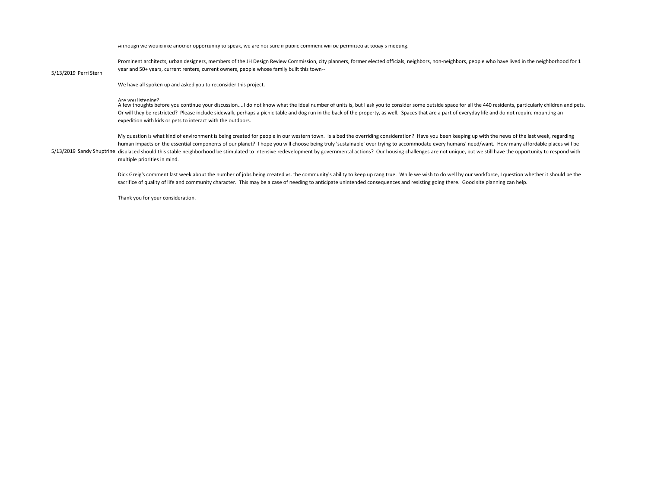Although we would like another opportunity to speak, we are not sure if public comment will be permitted at today's meeting.

5/13/2019 Perri Stern

Prominent architects, urban designers, members of the JH Design Review Commission, city planners, former elected officials, neighbors, non-neighbors, people who have lived in the neighborhood for 1 year and 50+ years, current renters, current owners, people whose family built this town--

We have all spoken up and asked you to reconsider this project.

#### Are you listening?

A few thoughts before you continue your discussion....I do not know what the ideal number of units is, but I ask you to consider some outside space for all the 440 residents, particularly children and pets. Or will they be restricted? Please include sidewalk, perhaps a picnic table and dog run in the back of the property, as well. Spaces that are a part of everyday life and do not require mounting an expedition with kids or pets to interact with the outdoors.

5/13/2019 Sandy Shuptrine displaced should this stable neighborhood be stimulated to intensive redevelopment by governmental actions? Our housing challenges are not unique, but we still have the opportunity to respond with My question is what kind of environment is being created for people in our western town. Is a bed the overriding consideration? Have you been keeping up with the news of the last week, regarding human impacts on the essential components of our planet? I hope you will choose being truly 'sustainable' over trying to accommodate every humans' need/want. How many affordable places will be multiple priorities in mind.

> Dick Greig's comment last week about the number of jobs being created vs. the community's ability to keep up rang true. While we wish to do well by our workforce, I question whether it should be the sacrifice of quality of life and community character. This may be a case of needing to anticipate unintended consequences and resisting going there. Good site planning can help.

Thank you for your consideration.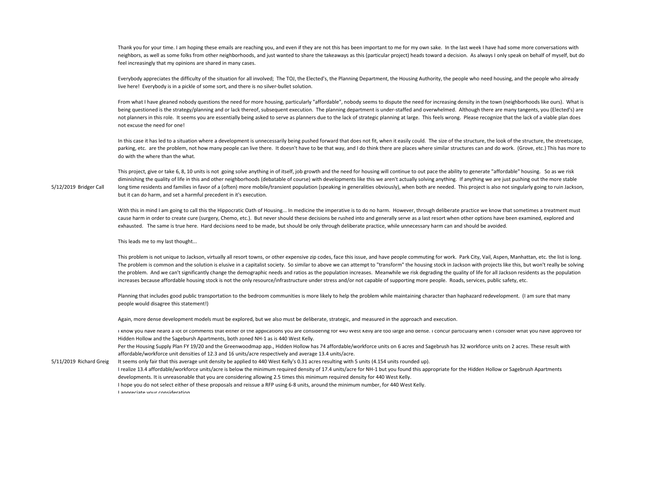Thank you for your time. I am hoping these emails are reaching you, and even if they are not this has been important to me for my own sake. In the last week I have had some more conversations with neighbors, as well as some folks from other neighborhoods, and just wanted to share the takeaways as this (particular project) heads toward a decision. As always I only speak on behalf of myself, but do feel increasingly that my opinions are shared in many cases.

Everybody appreciates the difficulty of the situation for all involved: The TOJ, the Elected's, the Planning Department, the Housing Authority, the people who need housing, and the people who need thousing, and the people live here! Everybody is in a pickle of some sort, and there is no silver-bullet solution.

From what I have gleaned nobody questions the need for more housing, particularly "affordable", nobody seems to dispute the need for increasing density in the town (neighborhoods like ours). What is being questioned is the strategy/planning and or lack thereof, subsequent execution. The planning department is under-staffed and overwhelmed. Although there are many tangents, you (Elected's) are not planners in this role. It seems you are essentially being asked to serve as planners due to the lack of strategic planning at large. This feels wrong. Please recognize that the lack of a viable plan does not excuse the need for one!

In this case it has led to a situation where a development is unnecessarily being pushed forward that does not fit, when it easily could. The size of the structure, the look of the structure, the structure, the streetscape parking, etc. are the problem, not how many people can live there. It doesn't have to be that way, and I do think there are places where similar structures can and do work. (Grove, etc.) This has more to do with the where than the what.

5/12/2019 Bridger Call This project, give or take 6, 8, 10 units is not going solve anything in of itself, job growth and the need for housing will continue to out pace the ability to generate "affordable" housing. So as we risk diminishing the quality of life in this and other neighborhoods (debatable of course) with developments like this we aren't actually solving anything. If anything we are just pushing out the more stable long time residents and families in favor of a (often) more mobile/transient population (speaking in generalities obviously), when both are needed. This project is also not singularly going to ruin Jackson, but it can do harm, and set a harmful precedent in it's execution.

> With this in mind I am going to call this the Hippocratic Oath of Housing... In medicine the imperative is to do no harm. However, through deliberate practice we know that sometimes a treatment must cause harm in order to create cure (surgery, Chemo, etc.). But never should these decisions be rushed into and generally serve as a last resort when other options have been examined, explored and exhausted. The same is true here. Hard decisions need to be made, but should be only through deliberate practice, while unnecessary harm can and should be avoided.

This leads me to my last thought...

This problem is not unique to Jackson, virtually all resort towns, or other expensive zip codes, face this issue, and have people commuting for work. Park City, Vail, Aspen, Manhattan, etc. the list is long. The problem is common and the solution is elusive in a capitalist society. So similar to above we can attempt to "transform" the housing stock in Jackson with projects like this, but won't really be solving the problem. And we can't significantly change the demographic needs and ratios as the population increases. Meanwhile we risk degrading the quality of life for all Jackson residents as the population increases because affordable housing stock is not the only resource/infrastructure under stress and/or not capable of supporting more people. Roads, services, public safety, etc.

Planning that includes good public transportation to the bedroom communities is more likely to help the problem while maintaining character than haphazard redevelopment. (I am sure that many people would disagree this statement!)

Again, more dense development models must be explored, but we also must be deliberate, strategic, and measured in the approach and execution.

I know you have heard a lot of comments that either of the applications you are considering for 440 West Kelly are too large and dense. I concur particularly when I consider what you have approved for Hidden Hollow and the Sagebursh Apartments, both zoned NH-1 as is 440 West Kelly.

Per the Housing Supply Plan FY 19/20 and the Greenwoodmap app., Hidden Hollow has 74 affordable/workforce units on 6 acres and Sagebrush has 32 workforce units on 2 acres. These result with affordable/workforce unit densities of 12.3 and 16 units/acre respectively and average 13.4 units/acre.

5/11/2019 Richard Greig It seems only fair that this average unit density be applied to 440 West Kelly's 0.31 acres resulting with 5 units (4.154 units rounded up). I realize 13.4 affordable/workforce units/acre is below the minimum required density of 17.4 units/acre for NH-1 but you found this appropriate for the Hidden Hollow or Sagebrush Apartments developments. It is unreasonable that you are considering allowing 2.5 times this minimum required density for 440 West Kelly. I hope you do not select either of these proposals and reissue a RFP using 6-8 units, around the minimum number, for 440 West Kelly.

I appreciate your consideration.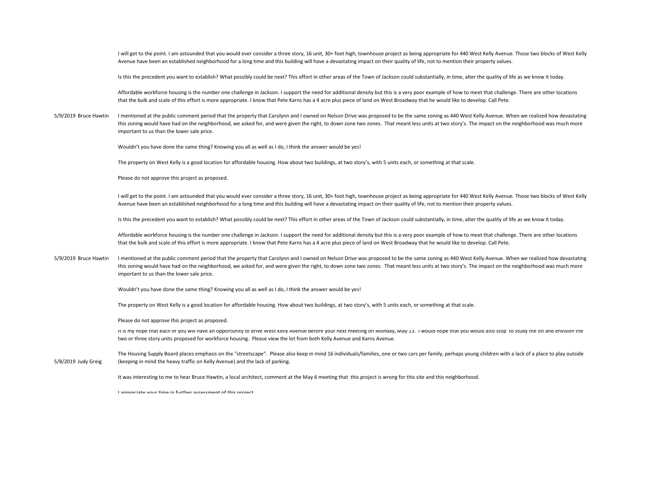I will get to the point. I am astounded that you would ever consider a three story, 16 unit, 30+ foot high, townhouse project as being appropriate for 440 West Kelly Avenue. Those two blocks of West Kelly Avenue have been an established neighborhood for a long time and this building will have a devastating impact on their quality of life, not to mention their property values.

Is this the precedent you want to establish? What possibly could be next? This effort in other areas of the Town of Jackson could substantially, in time, alter the quality of life as we know it today.

Affordable workforce housing is the number one challenge in Jackson. I support the need for additional density but this is a very poor example of how to meet that challenge. There are other locations that the bulk and scale of this effort is more appropriate. I know that Pete Karns has a 4 acre plus piece of land on West Broadway that he would like to develop. Call Pete.

5/9/2019 Bruce Hawtin I mentioned at the public comment period that the property that Carolynn and I owned on Nelson Drive was proposed to be the same zoning as 440 West Kelly Avenue. When we realized how devastating this zoning would have had on the neighborhood, we asked for, and were given the right, to down zone two zones. That meant less units at two story's. The impact on the neighborhood was much more important to us than the lower sale price.

Wouldn't you have done the same thing? Knowing you all as well as I do, I think the answer would be yes!

The property on West Kelly is a good location for affordable housing. How about two buildings, at two story's, with 5 units each, or something at that scale.

Please do not approve this project as proposed.

I will get to the point. I am astounded that you would ever consider a three story, 16 unit, 30+ foot high, townhouse project as being appropriate for 440 West Kelly Avenue. Those two blocks of West Kelly Avenue have been an established neighborhood for a long time and this building will have a devastating impact on their quality of life, not to mention their property values.

Is this the precedent you want to establish? What possibly could be next? This effort in other areas of the Town of Jackson could substantially, in time, alter the quality of life as we know it today.

Affordable workforce housing is the number one challenge in Jackson. I support the need for additional density but this is a very poor example of how to meet that challenge. There are other locations that the bulk and scale of this effort is more appropriate. I know that Pete Karns has a 4 acre plus piece of land on West Broadway that he would like to develop. Call Pete.

5/9/2019 Bruce Hawtin I mentioned at the public comment period that the property that Carolynn and I owned on Nelson Drive was proposed to be the same zoning as 440 West Kelly Avenue. When we realized how devastating this zoning would have had on the neighborhood, we asked for, and were given the right, to down zone two zones. That meant less units at two story's. The impact on the neighborhood was much more important to us than the lower sale price.

Wouldn't you have done the same thing? Knowing you all as well as I do, I think the answer would be yes!

The property on West Kelly is a good location for affordable housing. How about two buildings, at two story's, with 5 units each, or something at that scale.

Please do not approve this project as proposed.

It is my nope that each or you will have an opportunity to drive west Kelly Avenue before your next meeting on Monday, May 13. I would hope that you would also stop to study the lot and envision the two or three story units proposed for workforce housing. Please view the lot from both Kelly Avenue and Karns Avenue.

5/8/2019 Judy Greig The Housing Supply Board places emphasis on the "streetscape". Please also keep in mind 16 individuals/families, one or two cars per family, perhaps young children with a lack of a place to play outside (keeping in mind the heavy traffic on Kelly Avenue) and the lack of parking.

It was interesting to me to hear Bruce Hawtin, a local architect, comment at the May 6 meeting that this project is wrong for this site and this neighborhood.

I annreciate your time in further accecoment of this project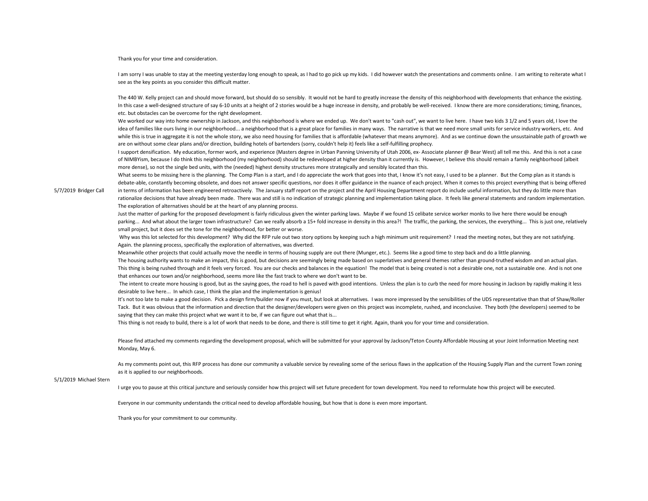Thank you for your time and consideration.

I am sorry I was unable to stay at the meeting yesterday long enough to speak, as I had to go pick up my kids. I did however watch the presentations and comments online. I am writing to reiterate what I see as the key points as you consider this difficult matter.

The 440 W. Kelly project can and should move forward, but should do so sensibly. It would not be hard to greatly increase the density of this neighborhood with developments that enhance the existing. In this case a well-designed structure of say 6-10 units at a height of 2 stories would be a huge increase in density, and probably be well-received. I know there are more considerations; timing, finances, etc. but obstacles can be overcome for the right development.

We worked our way into home ownership in Jackson, and this neighborhood is where we ended up. We don't want to "cash out", we want to live here. I have two kids 3 1/2 and 5 years old, I love the idea of families like ours living in our neighborhood... a neighborhood that is a great place for families in many ways. The narrative is that we need more small units for service industry workers, etc. And while this is true in aggregate it is not the whole story, we also need housing for families that is affordable (whatever that means anymore). And as we continue down the unsustainable path of growth we are on without some clear plans and/or direction, building hotels of bartenders (sorry, couldn't help it) feels like a self-fulfilling prophecy.

I support densification. My education, former work, and experience (Masters degree in Urban Panning University of Utah 2006, ex- Associate planner @ Bear West) all tell me this. And this is not a case of NIMBYism, because I do think this neighborhood (my neighborhood) should be redeveloped at higher density than it currently is. However, I believe this should remain a family neighborhood (albeit more dense), so not the single bed units, with the (needed) highest density structures more strategically and sensibly located than this.

What seems to be missing here is the planning. The Comp Plan is a start, and I do appreciate the work that goes into that, I know it's not easy, I used to be a planner. But the Comp plan as it stands is debate-able, constantly becoming obsolete, and does not answer specific questions, nor does it offer guidance in the nuance of each project. When it comes to this project everything that is being offered

5/7/2019 Bridger Call

in terms of information has been engineered retroactively. The January staff report on the project and the April Housing Department report do include useful information, but they do little more than rationalize decisions that have already been made. There was and still is no indication of strategic planning and implementation taking place. It feels like general statements and random implementation. The exploration of alternatives should be at the heart of any planning process.

Just the matter of parking for the proposed development is fairly ridiculous given the winter parking laws. Maybe if we found 15 celibate service worker monks to live here there would be enough parking... And what about the larger town infrastructure? Can we really absorb a 15+ fold increase in density in this area?! The traffic, the parking, the services, the everything... This is just one, relatively small project, but it does set the tone for the neighborhood, for better or worse.

Why was this lot selected for this development? Why did the RFP rule out two story options by keeping such a high minimum unit requirement? I read the meeting notes, but they are not satisfying. Again. the planning process, specifically the exploration of alternatives, was diverted.

Meanwhile other projects that could actually move the needle in terms of housing supply are out there (Munger, etc.). Seems like a good time to step back and do a little planning.

The housing authority wants to make an impact, this is good, but decisions are seemingly being made based on superlatives and general themes rather than ground-truthed wisdom and an actual plan. This thing is being rushed through and it feels very forced. You are our checks and balances in the equation! The model that is being created is not a desirable one, not a sustainable one. And is not one that enhances our town and/or neighborhood, seems more like the fast track to where we don't want to be.

The intent to create more housing is good, but as the saying goes, the road to hell is paved with good intentions. Unless the plan is to curb the need for more housing in Jackson by rapidly making it less desirable to live here... In which case, I think the plan and the implementation is genius!

It's not too late to make a good decision. Pick a design firm/builder now if you must, but look at alternatives. I was more impressed by the sensibilities of the UDS representative than that of Shaw/Roller Tack. But it was obvious that the information and direction that the designer/developers were given on this project was incomplete, rushed, and inconclusive. They both (the developers) seemed to be saying that they can make this project what we want it to be, if we can figure out what that is...

This thing is not ready to build, there is a lot of work that needs to be done, and there is still time to get it right. Again, thank you for your time and consideration.

Please find attached my comments regarding the development proposal, which will be submitted for your approval by Jackson/Teton County Affordable Housing at your Joint Information Meeting next Monday, May 6.

As my comments point out, this RFP process has done our community a valuable service by revealing some of the serious flaws in the application of the Housing Supply Plan and the current Town zoning as it is applied to our neighborhoods.

## 5/1/2019 Michael Stern

I urge you to pause at this critical juncture and seriously consider how this project will set future precedent for town development. You need to reformulate how this project will be executed.

Everyone in our community understands the critical need to develop affordable housing, but how that is done is even more important.

Thank you for your commitment to our community.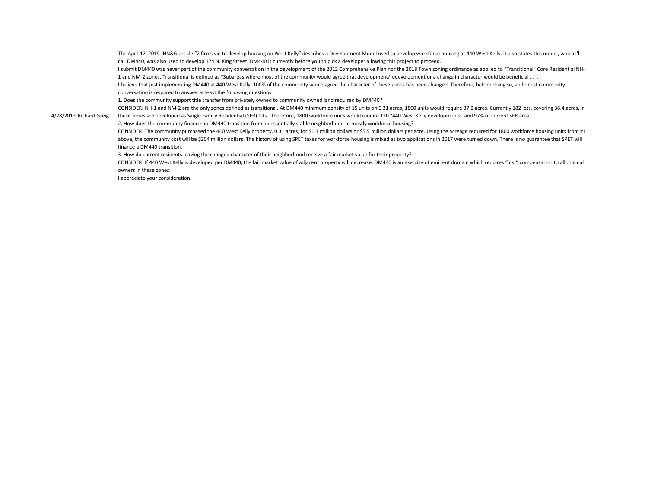The April 17, 2019 JHN&G article "2 firms vie to develop housing on West Kelly" describes a Development Model used to develop workforce housing at 440 West Kelly. It also states this model, which I'll call DM440, was also used to develop 174 N. King Street. DM440 is currently before you to pick a developer allowing this project to proceed.

I submit DM440 was never part of the community conversation in the development of the 2012 Comprehensive Plan nor the 2018 Town zoning ordinance as applied to "Transitional" Core Residential NH-1 and NM-2 zones. Transitional is defined as "Subareas where most of the community would agree that development/redevelopment or a change in character would be beneficial ...".

I believe that just implementing DM440 at 440 West Kelly, 100% of the community would agree the character of these zones has been changed. Therefore, before doing so, an honest community conversation is required to answer at least the following questions:

1. Does the community support title transfer from privately owned to community owned land required by DM440?

CONSIDER: NH-1 and NM-2 are the only zones defined as transitional. At DM440 minimum density of 15 units on 0.31 acres, 1800 units would require 37.2 acres. Currently 182 lots, covering 38.4 acres, in these zones are developed as Single Family Residential (SFR) lots . Therefore, 1800 workforce units would require 120 "440 West Kelly developments" and 97% of current SFR area.

4/28/2019 Richard Greig

2. How does the community finance an DM440 transition from an essentially stable neighborhood to mostly workforce housing?

CONSIDER: The community purchased the 440 West Kelly property, 0.31 acres, for \$1.7 million dollars or \$5.5 million dollars per acre. Using the acreage required for 1800 workforce housing units from #1 above, the community cost will be \$204 million dollars. The history of using SPET taxes for workforce housing is mixed as two applications in 2017 were turned down. There is no guarantee that SPET will finance a DM440 transition.

3. How do current residents leaving the changed character of their neighborhood receive a fair market value for their property?

CONSIDER: If 440 West Kelly is developed per DM440, the fair market value of adjacent property will decrease. DM440 is an exercise of eminent domain which requires "just" compensation to all original owners in these zones.

I appreciate your consideration.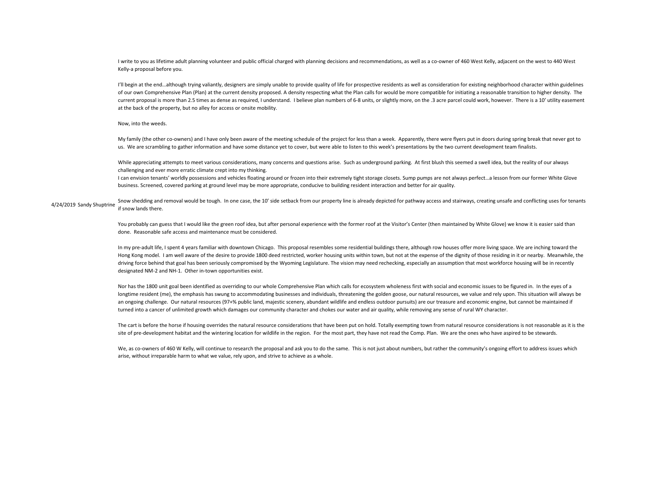I write to you as lifetime adult planning volunteer and public official charged with planning decisions and recommendations, as well as a co-owner of 460 West Kelly, adjacent on the west to 440 West Kelly-a proposal before you.

I'll begin at the end...although trying valiantly, designers are simply unable to provide quality of life for prospective residents as well as consideration for existing neighborhood character within guidelines of our own Comprehensive Plan (Plan) at the current density proposed. A density respecting what the Plan calls for would be more compatible for initiating a reasonable transition to higher density. The current proposal is more than 2.5 times as dense as required, I understand. I believe plan numbers of 6-8 units, or slightly more, on the .3 acre parcel could work, however. There is a 10' utility easement at the back of the property, but no alley for access or onsite mobility.

### Now, into the weeds.

My family (the other co-owners) and I have only been aware of the meeting schedule of the project for less than a week. Apparently, there were flyers put in doors during spring break that never got to us. We are scrambling to gather information and have some distance yet to cover, but were able to listen to this week's presentations by the two current development team finalists.

While appreciating attempts to meet various considerations, many concerns and questions arise. Such as underground parking. At first blush this seemed a swell idea, but the reality of our always challenging and ever more erratic climate crept into my thinking.

I can envision tenants' worldly possessions and vehicles floating around or frozen into their extremely tight storage closets. Sump pumps are not always perfect...a lesson from our former White Glove business. Screened, covered parking at ground level may be more appropriate, conducive to building resident interaction and better for air quality.

4/24/2019 Sandy Shuptrine Snow shedding and removal would be tough. In one case, the 10' side setback from our property line is already depicted for pathway access and stairways, creating unsafe and conflicting uses for tenants if snow lands there.

> You probably can guess that I would like the green roof idea, but after personal experience with the former roof at the Visitor's Center (then maintained by White Glove) we know it is easier said than done. Reasonable safe access and maintenance must be considered.

In my pre-adult life, I spent 4 years familiar with downtown Chicago. This proposal resembles some residential buildings there, although row houses offer more living space. We are inching toward the Hong Kong model. I am well aware of the desire to provide 1800 deed restricted, worker housing units within town, but not at the expense of the dignity of those residing in it or nearby. Meanwhile, the driving force behind that goal has been seriously compromised by the Wyoming Legislature. The vision may need rechecking, especially an assumption that most workforce housing will be in recently designated NM-2 and NH-1. Other in-town opportunities exist.

Nor has the 1800 unit goal been identified as overriding to our whole Comprehensive Plan which calls for ecosystem wholeness first with social and economic issues to be figured in. In the eyes of a longtime resident (me), the emphasis has swung to accommodating businesses and individuals, threatening the golden goose, our natural resources, we value and rely upon. This situation will always be an ongoing challenge. Our natural resources (97+% public land, majestic scenery, abundant wildlife and endless outdoor pursuits) are our treasure and economic engine, but cannot be maintained if turned into a cancer of unlimited growth which damages our community character and chokes our water and air quality, while removing any sense of rural WY character.

The cart is before the horse if housing overrides the natural resource considerations that have been put on hold. Totally exempting town from natural resource considerations is not reasonable as it is the site of pre-development habitat and the wintering location for wildlife in the region. For the most part, they have not read the Comp. Plan. We are the ones who have aspired to be stewards.

We, as co-owners of 460 W Kelly, will continue to research the proposal and ask you to do the same. This is not just about numbers, but rather the community's ongoing effort to address issues which arise, without irreparable harm to what we value, rely upon, and strive to achieve as a whole.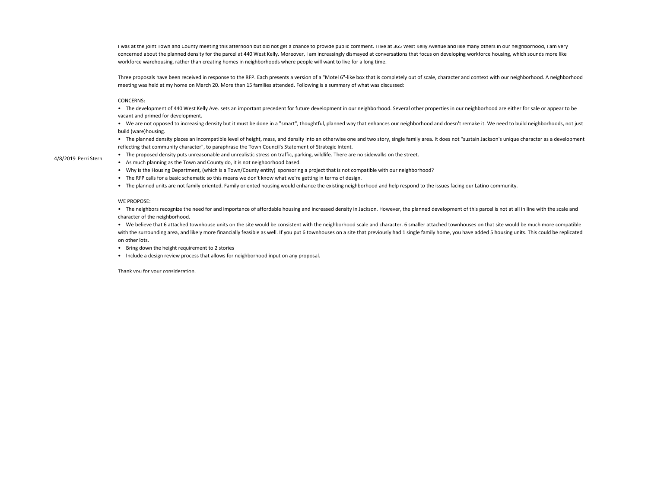I was at the joint Town and County meeting this afternoon but did not get a chance to provide public comment. I live at 365 West Kelly Avenue and like many others in our neighborhood, I am very concerned about the planned density for the parcel at 440 West Kelly. Moreover, I am increasingly dismayed at conversations that focus on developing workforce housing, which sounds more like workforce warehousing, rather than creating homes in neighborhoods where people will want to live for a long time.

Three proposals have been received in response to the RFP. Each presents a version of a "Motel 6"-like box that is completely out of scale, character and context with our neighborhood. A neighborhood meeting was held at my home on March 20. More than 15 families attended. Following is a summary of what was discussed:

## CONCERNS:

• The development of 440 West Kelly Ave. sets an important precedent for future development in our neighborhood. Several other properties in our neighborhood are either for sale or appear to be vacant and primed for development.

• We are not opposed to increasing density but it must be done in a "smart", thoughtful, planned way that enhances our neighborhood and doesn't remake it. We need to build neighborhoods, not just build (ware)housing.

- The planned density places an incompatible level of height, mass, and density into an otherwise one and two story, single family area. It does not "sustain Jackson's unique character as a development reflecting that community character", to paraphrase the Town Council's Statement of Strategic Intent.
- The proposed density puts unreasonable and unrealistic stress on traffic, parking, wildlife. There are no sidewalks on the street.

## 4/8/2019 Perri Stern

- As much planning as the Town and County do, it is not neighborhood based.
- Why is the Housing Department, (which is a Town/County entity) sponsoring a project that is not compatible with our neighborhood?
- The RFP calls for a basic schematic so this means we don't know what we're getting in terms of design.
- The planned units are not family oriented. Family oriented housing would enhance the existing neighborhood and help respond to the issues facing our Latino community.

### WE PROPOSE:

• The neighbors recognize the need for and importance of affordable housing and increased density in Jackson. However, the planned development of this parcel is not at all in line with the scale and character of the neighborhood.

• We believe that 6 attached townhouse units on the site would be consistent with the neighborhood scale and character. 6 smaller attached townhouses on that site would be much more compatible with the surrounding area, and likely more financially feasible as well. If you put 6 townhouses on a site that previously had 1 single family home, you have added 5 housing units. This could be replicated on other lots.

- Bring down the height requirement to 2 stories
- Include a design review process that allows for neighborhood input on any proposal.

Thank you for your consideration.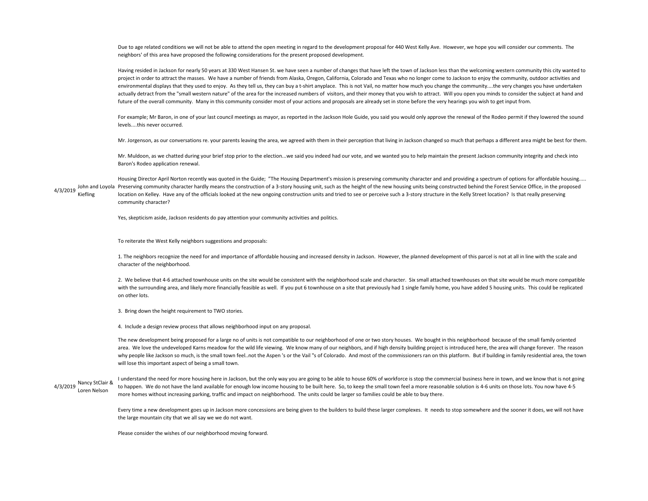Due to age related conditions we will not be able to attend the open meeting in regard to the development proposal for 440 West Kelly Ave. However, we hope you will consider our comments. The neighbors' of this area have proposed the following considerations for the present proposed development.

Having resided in Jackson for nearly 50 years at 330 West Hansen St. we have seen a number of changes that have left the town of Jackson less than the welcoming western community this city wanted to project in order to attract the masses. We have a number of friends from Alaska, Oregon, California, Colorado and Texas who no longer come to Jackson to enjoy the community, outdoor activities and environmental displays that they used to enjoy. As they tell us, they can buy a t-shirt anyplace. This is not Vail, no matter how much you change the community....the very changes you have undertaken actually detract from the "small western nature" of the area for the increased numbers of visitors, and their money that you wish to attract. Will you open you minds to consider the subject at hand and future of the overall community. Many in this community consider most of your actions and proposals are already set in stone before the very hearings you wish to get input from.

For example; Mr Baron, in one of your last council meetings as mayor, as reported in the Jackson Hole Guide, you said you would only approve the renewal of the Rodeo permit if they lowered the sound levels....this never occurred.

Mr. Jorgenson, as our conversations re. your parents leaving the area, we agreed with them in their perception that living in Jackson changed so much that perhaps a different area might be best for them.

Mr. Muldoon, as we chatted during your brief stop prior to the election...we said you indeed had our vote, and we wanted you to help maintain the present Jackson community integrity and check into Baron's Rodeo application renewal.

4/3/2019 John and Loyola Kiefling

Housing Director April Norton recently was quoted in the Guide; "The Housing Department's mission is preserving community character and and providing a spectrum of options for affordable housing..... Preserving community character hardly means the construction of a 3-story housing unit, such as the height of the new housing units being constructed behind the Forest Service Office, in the proposed location on Kelley. Have any of the officials looked at the new ongoing construction units and tried to see or perceive such a 3-story structure in the Kelly Street location? Is that really preserving community character?

Yes, skepticism aside, Jackson residents do pay attention your community activities and politics.

To reiterate the West Kelly neighbors suggestions and proposals:

1. The neighbors recognize the need for and importance of affordable housing and increased density in Jackson. However, the planned development of this parcel is not at all in line with the scale and character of the neighborhood.

2. We believe that 4-6 attached townhouse units on the site would be consistent with the neighborhood scale and character. Six small attached townhouses on that site would be much more compatible with the surrounding area, and likely more financially feasible as well. If you put 6 townhouse on a site that previously had 1 single family home, you have added 5 housing units. This could be replicated on other lots.

3. Bring down the height requirement to TWO stories.

4. Include a design review process that allows neighborhood input on any proposal.

The new development being proposed for a large no of units is not compatible to our neighborhood of one or two story houses. We bought in this neighborhood because of the small family oriented area. We love the undeveloped Karns meadow for the wild life viewing. We know many of our neighbors, and if high density building project is introduced here, the area will change forever. The reason why people like Jackson so much, is the small town feel..not the Aspen 's or the Vail "s of Colorado. And most of the commissioners ran on this platform. But if building in family residential area, the town will lose this important aspect of being a small town.

4/3/2019 Nancy StClair & Loren Nelson

I understand the need for more housing here in Jackson, but the only way you are going to be able to house 60% of workforce is stop the commercial business here in town, and we know that is not going to happen. We do not have the land available for enough low income housing to be built here. So, to keep the small town feel a more reasonable solution is 4-6 units on those lots. You now have 4-5 more homes without increasing parking, traffic and impact on neighborhood. The units could be larger so families could be able to buy there.

Every time a new development goes up in Jackson more concessions are being given to the builders to build these larger complexes. It needs to stop somewhere and the sooner it does, we will not have the large mountain city that we all say we we do not want.

Please consider the wishes of our neighborhood moving forward.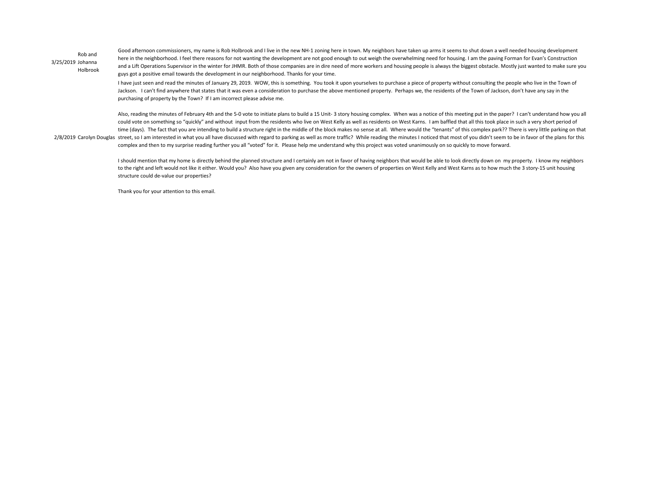3/25/2019 Johanna Rob and Holbrook Good afternoon commissioners, my name is Rob Holbrook and I live in the new NH-1 zoning here in town. My neighbors have taken up arms it seems to shut down a well needed housing development here in the neighborhood. I feel there reasons for not wanting the development are not good enough to out weigh the overwhelming need for housing. I am the paving Forman for Evan's Construction and a Lift Operations Supervisor in the winter for JHMR. Both of those companies are in dire need of more workers and housing people is always the biggest obstacle. Mostly just wanted to make sure you guys got a positive email towards the development in our neighborhood. Thanks for your time.

I have just seen and read the minutes of January 29, 2019. WOW, this is something. You took it upon yourselves to purchase a piece of property without consulting the people who live in the Town of Jackson. I can't find anywhere that states that it was even a consideration to purchase the above mentioned property. Perhaps we, the residents of the Town of Jackson, don't have any say in the purchasing of property by the Town? If I am incorrect please advise me.

Also, reading the minutes of February 4th and the 5-0 vote to initiate plans to build a 15 Unit-3 story housing complex. When was a notice of this meeting put in the paper? I can't understand how you all could vote on something so "quickly" and without input from the residents who live on West Kelly as well as residents on West Karns. I am baffled that all this took place in such a very short period of time (days). The fact that you are intending to build a structure right in the middle of the block makes no sense at all. Where would the "tenants" of this complex park?? There is very little parking on that

2/8/2019 Carolyn Douglas street, so I am interested in what you all have discussed with regard to parking as well as more traffic? While reading the minutes I noticed that most of you didn't seem to be in favor of the plan complex and then to my surprise reading further you all "voted" for it. Please help me understand why this project was voted unanimously on so quickly to move forward.

> I should mention that my home is directly behind the planned structure and I certainly am not in favor of having neighbors that would be able to look directly down on my property. I know my neighbors to the right and left would not like it either. Would you? Also have you given any consideration for the owners of properties on West Kelly and West Karns as to how much the 3 story-15 unit housing structure could de-value our properties?

Thank you for your attention to this email.